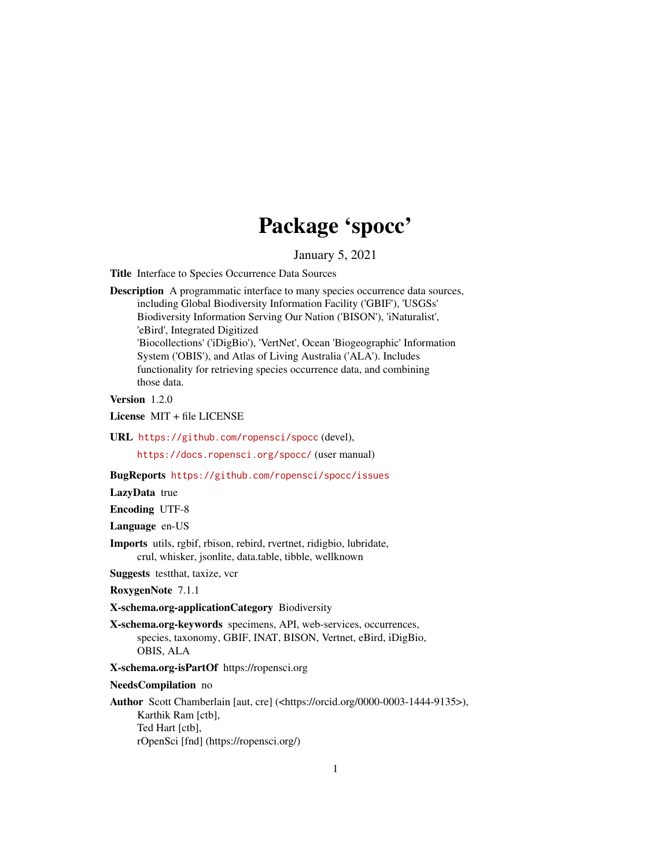# Package 'spocc'

January 5, 2021

<span id="page-0-0"></span>Title Interface to Species Occurrence Data Sources

Description A programmatic interface to many species occurrence data sources, including Global Biodiversity Information Facility ('GBIF'), 'USGSs' Biodiversity Information Serving Our Nation ('BISON'), 'iNaturalist', 'eBird', Integrated Digitized 'Biocollections' ('iDigBio'), 'VertNet', Ocean 'Biogeographic' Information System ('OBIS'), and Atlas of Living Australia ('ALA'). Includes functionality for retrieving species occurrence data, and combining those data.

Version 1.2.0

License MIT + file LICENSE

URL <https://github.com/ropensci/spocc> (devel),

<https://docs.ropensci.org/spocc/> (user manual)

BugReports <https://github.com/ropensci/spocc/issues>

LazyData true

Encoding UTF-8

Language en-US

Imports utils, rgbif, rbison, rebird, rvertnet, ridigbio, lubridate, crul, whisker, jsonlite, data.table, tibble, wellknown

Suggests testthat, taxize, vcr

RoxygenNote 7.1.1

X-schema.org-applicationCategory Biodiversity

X-schema.org-keywords specimens, API, web-services, occurrences, species, taxonomy, GBIF, INAT, BISON, Vertnet, eBird, iDigBio, OBIS, ALA

X-schema.org-isPartOf https://ropensci.org

NeedsCompilation no

Author Scott Chamberlain [aut, cre] (<https://orcid.org/0000-0003-1444-9135>), Karthik Ram [ctb], Ted Hart [ctb], rOpenSci [fnd] (https://ropensci.org/)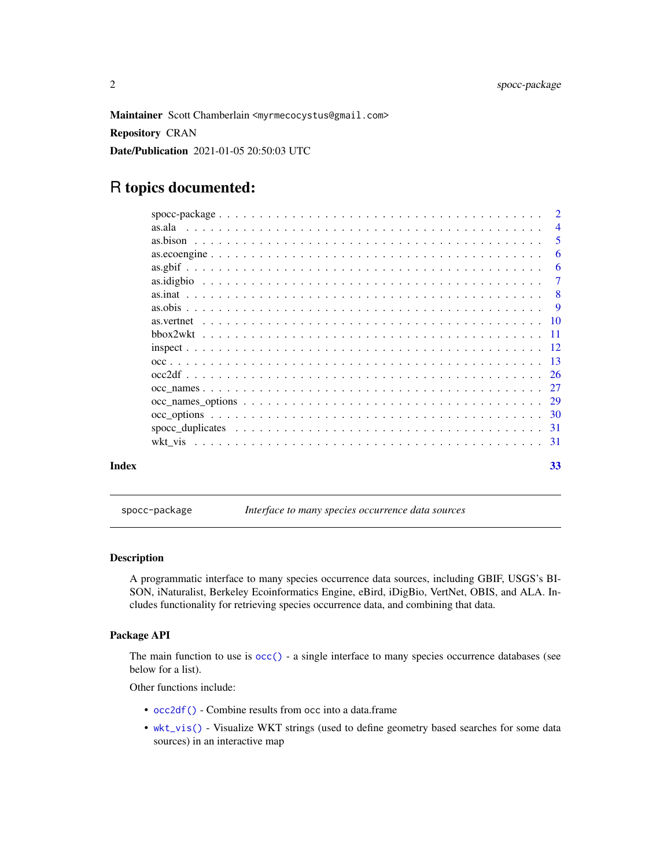<span id="page-1-0"></span>Maintainer Scott Chamberlain <myrmecocystus@gmail.com> Repository CRAN Date/Publication 2021-01-05 20:50:03 UTC

# R topics documented:

|       |                                                                                                                         | $\overline{2}$ |
|-------|-------------------------------------------------------------------------------------------------------------------------|----------------|
|       | as.ala<br>a constitution de la constitution de la constitution de la constitution de la constitution de la constitution | $\overline{4}$ |
|       |                                                                                                                         | -5             |
|       |                                                                                                                         | -6             |
|       |                                                                                                                         | -6             |
|       |                                                                                                                         | 7              |
|       |                                                                                                                         | -8             |
|       |                                                                                                                         | - 9            |
|       |                                                                                                                         |                |
|       |                                                                                                                         |                |
|       |                                                                                                                         |                |
|       |                                                                                                                         |                |
|       |                                                                                                                         |                |
|       |                                                                                                                         |                |
|       |                                                                                                                         |                |
|       |                                                                                                                         |                |
|       |                                                                                                                         |                |
|       |                                                                                                                         | -31            |
| Index |                                                                                                                         | 33             |

spocc-package *Interface to many species occurrence data sources*

#### Description

A programmatic interface to many species occurrence data sources, including GBIF, USGS's BI-SON, iNaturalist, Berkeley Ecoinformatics Engine, eBird, iDigBio, VertNet, OBIS, and ALA. Includes functionality for retrieving species occurrence data, and combining that data.

#### Package API

The main function to use is [occ\(\)](#page-12-1) - a single interface to many species occurrence databases (see below for a list).

Other functions include:

- [occ2df\(\)](#page-25-1) Combine results from occ into a data.frame
- [wkt\\_vis\(\)](#page-30-1) Visualize WKT strings (used to define geometry based searches for some data sources) in an interactive map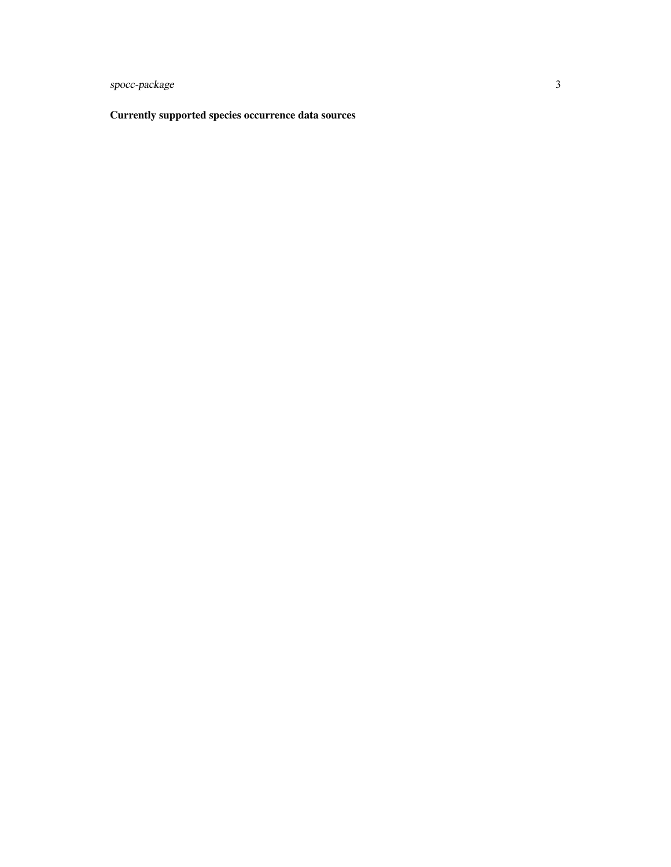spocc-package 3

Currently supported species occurrence data sources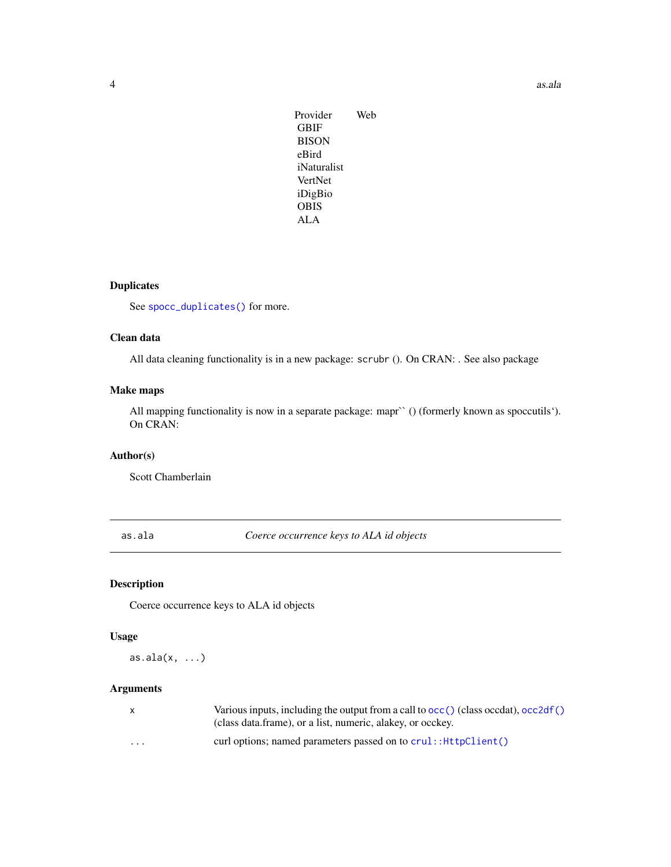<span id="page-3-0"></span>Provider Web GBIF BISON eBird iNaturalist VertNet iDigBio OBIS ALA

# Duplicates

See [spocc\\_duplicates\(\)](#page-30-2) for more.

# Clean data

All data cleaning functionality is in a new package: scrubr (). On CRAN: . See also package

### Make maps

All mapping functionality is now in a separate package: mapr` () (formerly known as spoccutils'). On CRAN:

#### Author(s)

Scott Chamberlain

<span id="page-3-1"></span>as.ala *Coerce occurrence keys to ALA id objects*

# Description

Coerce occurrence keys to ALA id objects

#### Usage

 $as.ala(x, ...)$ 

|   | Various inputs, including the output from a call to $\text{occ}()$ (class occdat), $\text{occ2df()}$<br>(class data.frame), or a list, numeric, alakey, or occkey. |
|---|--------------------------------------------------------------------------------------------------------------------------------------------------------------------|
| . | curl options; named parameters passed on to crul: : HttpClient ()                                                                                                  |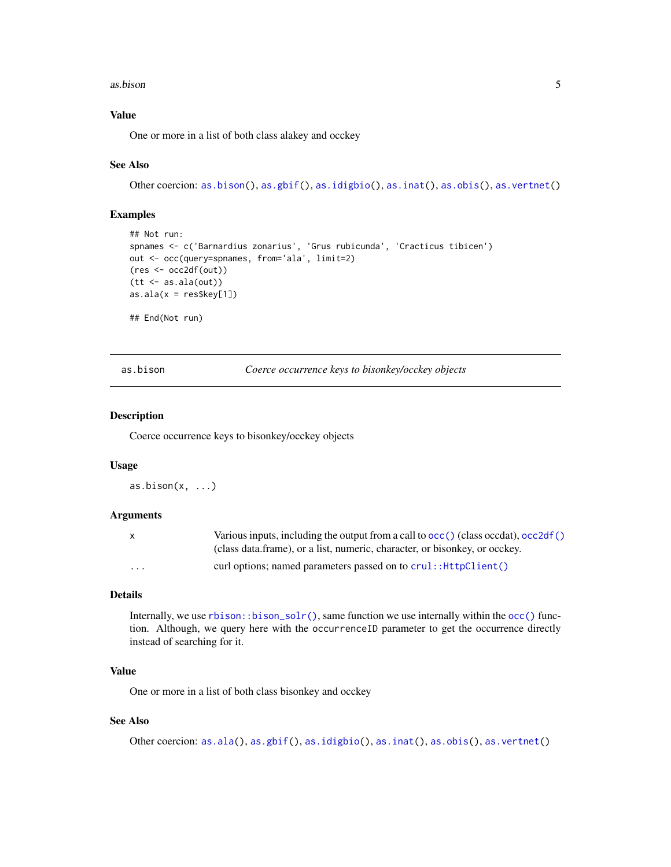#### <span id="page-4-0"></span>as.bison 5

#### Value

One or more in a list of both class alakey and occkey

#### See Also

```
Other coercion: as.bison(), as.gbif(), as.idigbio(), as.inat(), as.obis(), as.vertnet()
```
#### Examples

```
## Not run:
spnames <- c('Barnardius zonarius', 'Grus rubicunda', 'Cracticus tibicen')
out <- occ(query=spnames, from='ala', limit=2)
(res <- occ2df(out))
(tt <- as.ala(out))
as.ala(x = res$key[1])
```
## End(Not run)

<span id="page-4-1"></span>as.bison *Coerce occurrence keys to bisonkey/occkey objects*

#### Description

Coerce occurrence keys to bisonkey/occkey objects

#### Usage

 $as.bison(x, ...)$ 

#### Arguments

| X.       | Various inputs, including the output from a call to $\text{occ}(\cdot)$ (class occdat), occ2df() |
|----------|--------------------------------------------------------------------------------------------------|
|          | (class data frame), or a list, numeric, character, or bisonkey, or occkey.                       |
| $\cdots$ | curl options; named parameters passed on to $crul$ : $HttpClient()$                              |

#### Details

Internally, we use  $rbison:bison\_solv()$ , same function we use internally within the [occ\(\)](#page-12-1) function. Although, we query here with the occurrenceID parameter to get the occurrence directly instead of searching for it.

### Value

One or more in a list of both class bisonkey and occkey

#### See Also

Other coercion: [as.ala\(](#page-3-1)), [as.gbif\(](#page-5-1)), [as.idigbio\(](#page-6-1)), [as.inat\(](#page-7-1)), [as.obis\(](#page-8-1)), [as.vertnet\(](#page-9-1))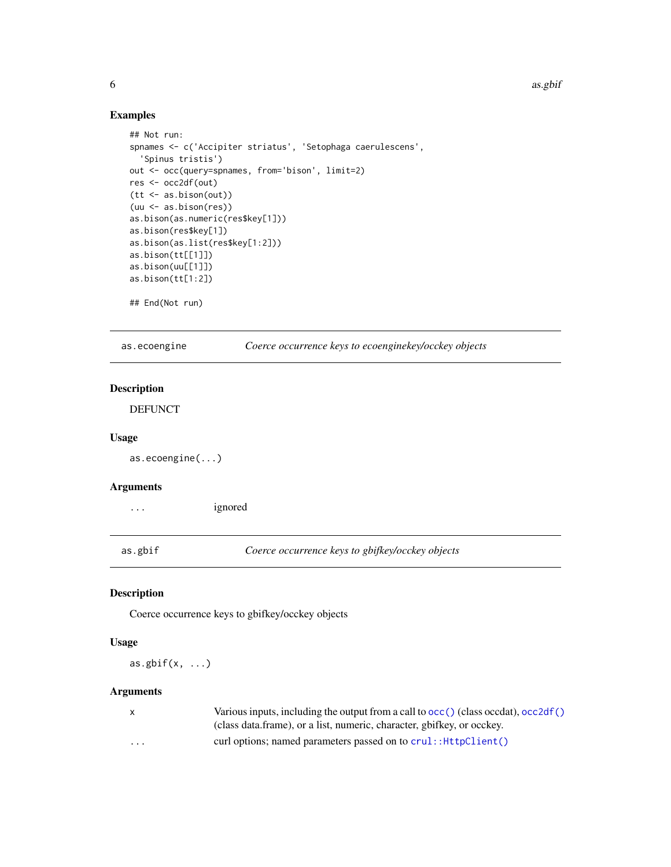<span id="page-5-0"></span>6 assets and the contract of the contract of the contract of the contract of the contract of the contract of the contract of the contract of the contract of the contract of the contract of the contract of the contract of t

#### Examples

```
## Not run:
spnames <- c('Accipiter striatus', 'Setophaga caerulescens',
  'Spinus tristis')
out <- occ(query=spnames, from='bison', limit=2)
res <- occ2df(out)
(tt <- as.bison(out))
(uu <- as.bison(res))
as.bison(as.numeric(res$key[1]))
as.bison(res$key[1])
as.bison(as.list(res$key[1:2]))
as.bison(tt[[1]])
as.bison(uu[[1]])
as.bison(tt[1:2])
## End(Not run)
```
as.ecoengine *Coerce occurrence keys to ecoenginekey/occkey objects*

### Description

DEFUNCT

#### Usage

```
as.ecoengine(...)
```
### Arguments

... ignored

<span id="page-5-1"></span>as.gbif *Coerce occurrence keys to gbifkey/occkey objects*

### Description

Coerce occurrence keys to gbifkey/occkey objects

#### Usage

as.gbif $(x, \ldots)$ 

|          | Various inputs, including the output from a call to $\text{occ}(\cdot)$ (class occdat), $\text{occ2df}(\cdot)$ |
|----------|----------------------------------------------------------------------------------------------------------------|
|          | (class data.frame), or a list, numeric, character, gbifkey, or occkey.                                         |
| $\cdots$ | curl options; named parameters passed on to $crul$ : $HttpClient()$                                            |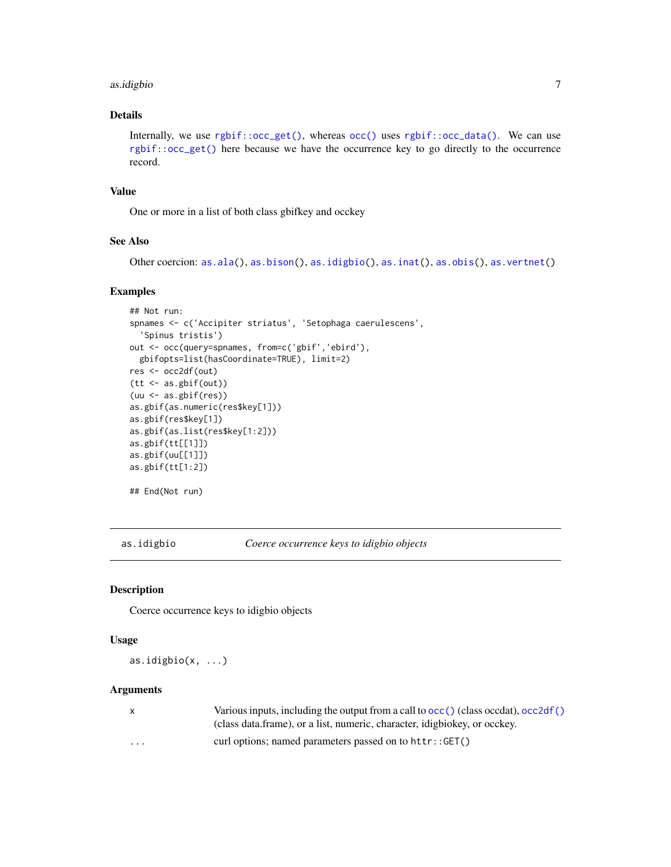#### <span id="page-6-0"></span>as.idigbio 7

# Details

Internally, we use [rgbif::occ\\_get\(\)](#page-0-0), whereas [occ\(\)](#page-12-1) uses [rgbif::occ\\_data\(\)](#page-0-0). We can use [rgbif::occ\\_get\(\)](#page-0-0) here because we have the occurrence key to go directly to the occurrence record.

#### Value

One or more in a list of both class gbifkey and occkey

# See Also

```
as.ala(as.bison(as.idigbio(as.inat(as.obis(as.vertnet()
```
#### Examples

```
## Not run:
spnames <- c('Accipiter striatus', 'Setophaga caerulescens',
  'Spinus tristis')
out <- occ(query=spnames, from=c('gbif','ebird'),
  gbifopts=list(hasCoordinate=TRUE), limit=2)
res <- occ2df(out)
(tt <- as.gbif(out))
(uu <- as.gbif(res))
as.gbif(as.numeric(res$key[1]))
as.gbif(res$key[1])
as.gbif(as.list(res$key[1:2]))
as.gbif(tt[[1]])
as.gbif(uu[[1]])
as.gbif(tt[1:2])
## End(Not run)
```
<span id="page-6-1"></span>as.idigbio *Coerce occurrence keys to idigbio objects*

### Description

Coerce occurrence keys to idigbio objects

#### Usage

as.idigbio(x, ...)

| $\mathsf{X}$            | Various inputs, including the output from a call to $\text{occ}(\cdot)$ (class occdat), occ2df() |
|-------------------------|--------------------------------------------------------------------------------------------------|
|                         | (class data.frame), or a list, numeric, character, idigbiokey, or occkey.                        |
| $\cdot$ $\cdot$ $\cdot$ | curl options; named parameters passed on to $http://GET()$                                       |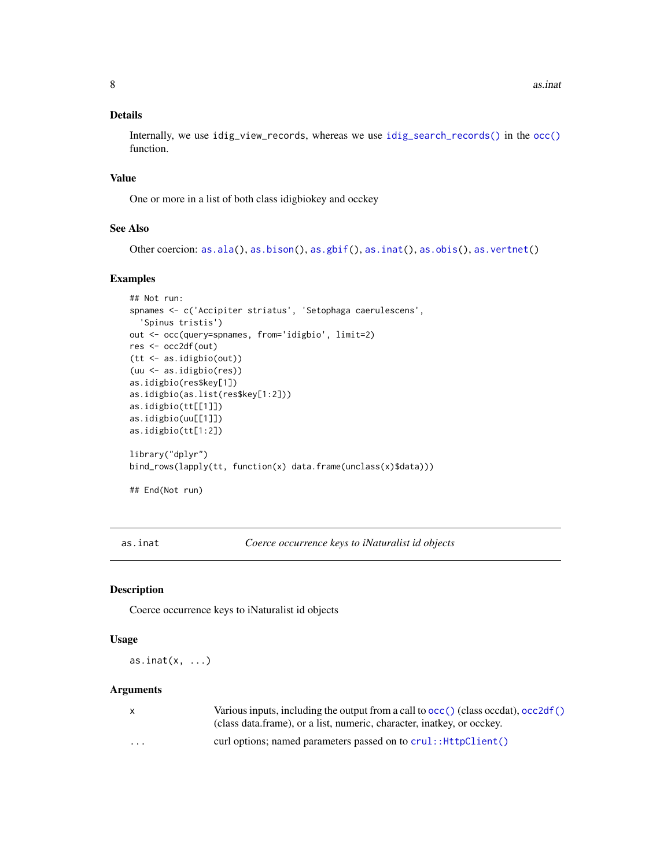<span id="page-7-0"></span>Internally, we use idig\_view\_records, whereas we use [idig\\_search\\_records\(\)](#page-0-0) in the [occ\(\)](#page-12-1) function.

#### Value

One or more in a list of both class idigbiokey and occkey

# See Also

```
as.ala(as.bison(as.gbif(as.inat(as.obis(as.vertnet()
```
#### Examples

```
## Not run:
spnames <- c('Accipiter striatus', 'Setophaga caerulescens',
  'Spinus tristis')
out <- occ(query=spnames, from='idigbio', limit=2)
res <- occ2df(out)
(tt <- as.idigbio(out))
(uu <- as.idigbio(res))
as.idigbio(res$key[1])
as.idigbio(as.list(res$key[1:2]))
as.idigbio(tt[[1]])
as.idigbio(uu[[1]])
as.idigbio(tt[1:2])
library("dplyr")
bind_rows(lapply(tt, function(x) data.frame(unclass(x)$data)))
```
## End(Not run)

<span id="page-7-1"></span>as.inat *Coerce occurrence keys to iNaturalist id objects*

#### Description

Coerce occurrence keys to iNaturalist id objects

#### Usage

as.inat $(x, \ldots)$ 

| X        | Various inputs, including the output from a call to $\text{occ}(\cdot)$ (class occdat), $\text{occ2df}(\cdot)$ |
|----------|----------------------------------------------------------------------------------------------------------------|
|          | (class data frame), or a list, numeric, character, inatkey, or occkey.                                         |
| $\cdots$ | curl options; named parameters passed on to $crul$ : $HttpClient()$                                            |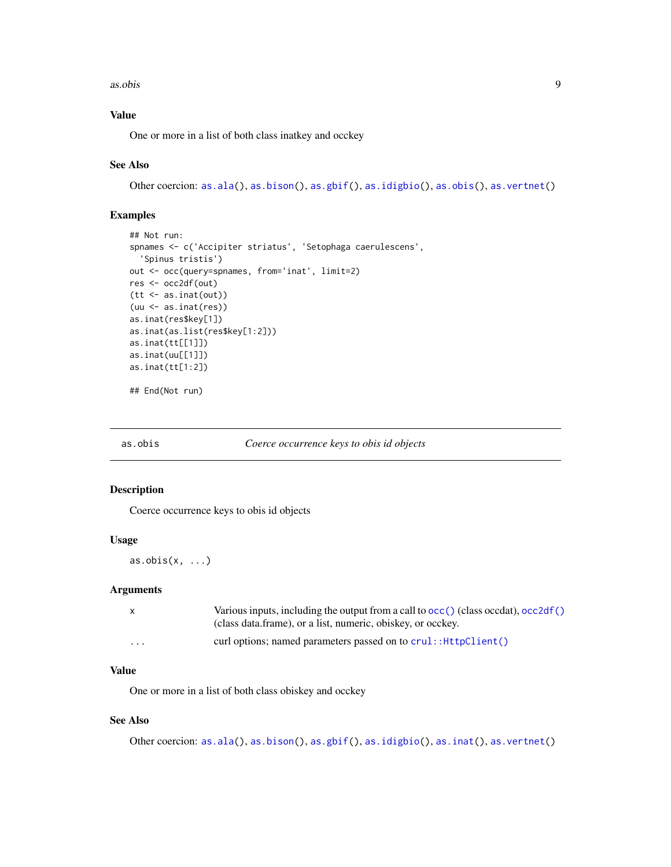#### <span id="page-8-0"></span>as.obis 9

### Value

One or more in a list of both class inatkey and occkey

#### See Also

Other coercion: [as.ala\(](#page-3-1)), [as.bison\(](#page-4-1)), [as.gbif\(](#page-5-1)), [as.idigbio\(](#page-6-1)), [as.obis\(](#page-8-1)), [as.vertnet\(](#page-9-1))

#### Examples

```
## Not run:
spnames <- c('Accipiter striatus', 'Setophaga caerulescens',
  'Spinus tristis')
out <- occ(query=spnames, from='inat', limit=2)
res <- occ2df(out)
(tt <- as.inat(out))
(uu <- as.inat(res))
as.inat(res$key[1])
as.inat(as.list(res$key[1:2]))
as.inat(tt[[1]])
as.inat(uu[[1]])
as.inat(tt[1:2])
```
## End(Not run)

<span id="page-8-1"></span>as.obis *Coerce occurrence keys to obis id objects*

#### Description

Coerce occurrence keys to obis id objects

#### Usage

 $as.obs(x, \ldots)$ 

### Arguments

| $\mathsf{X}$ | Various inputs, including the output from a call to $\text{occ}()$ (class occdat), $\text{occ2df()}$ |
|--------------|------------------------------------------------------------------------------------------------------|
|              | (class data.frame), or a list, numeric, obiskey, or occkey.                                          |
| $\cdots$     | curl options; named parameters passed on to $crul$ : $HttpClient()$                                  |

#### Value

One or more in a list of both class obiskey and occkey

# See Also

Other coercion: [as.ala\(](#page-3-1)), [as.bison\(](#page-4-1)), [as.gbif\(](#page-5-1)), [as.idigbio\(](#page-6-1)), [as.inat\(](#page-7-1)), [as.vertnet\(](#page-9-1))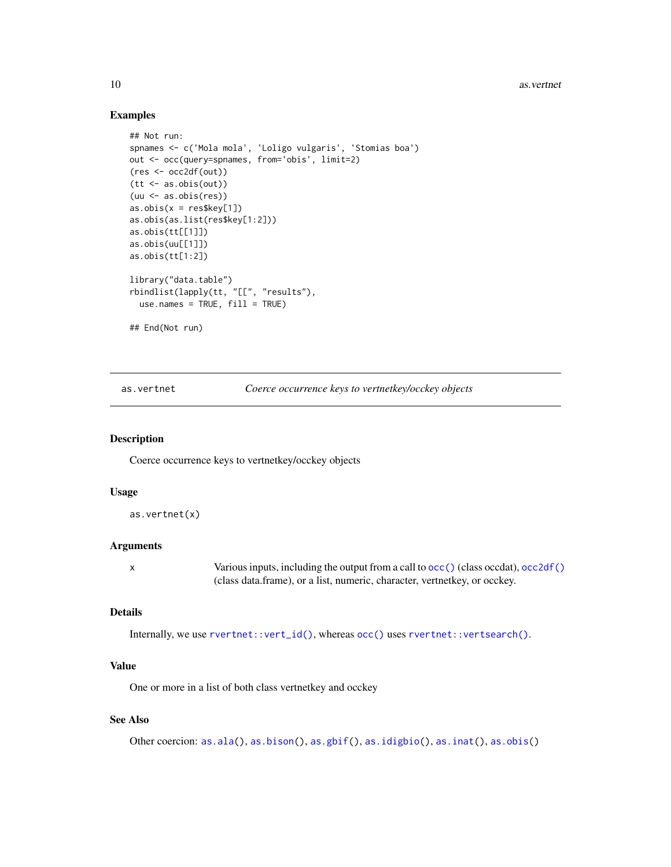<span id="page-9-0"></span>10 as.vertnet

#### Examples

```
## Not run:
spnames <- c('Mola mola', 'Loligo vulgaris', 'Stomias boa')
out <- occ(query=spnames, from='obis', limit=2)
(res <- occ2df(out))
(tt <- as.obis(out))
(uu <- as.obis(res))
as.obs(x = res$key[1])as.obis(as.list(res$key[1:2]))
as.obis(tt[[1]])
as.obis(uu[[1]])
as.obis(tt[1:2])
library("data.table")
rbindlist(lapply(tt, "[[", "results"),
  use.name = TRUE, fill = TRUE)## End(Not run)
```
as.vertnet *Coerce occurrence keys to vertnetkey/occkey objects*

#### Description

Coerce occurrence keys to vertnetkey/occkey objects

#### Usage

```
as.vertnet(x)
```
#### **Arguments**

x Various inputs, including the output from a call to [occ\(\)](#page-12-1) (class occdat), [occ2df\(\)](#page-25-1) (class data.frame), or a list, numeric, character, vertnetkey, or occkey.

#### Details

```
Internally, we use rvertnet::vert_id(), whereas occ() uses rvertnet::vertsearch().
```
#### Value

One or more in a list of both class vertnetkey and occkey

#### See Also

Other coercion: [as.ala\(](#page-3-1)), [as.bison\(](#page-4-1)), [as.gbif\(](#page-5-1)), [as.idigbio\(](#page-6-1)), [as.inat\(](#page-7-1)), [as.obis\(](#page-8-1))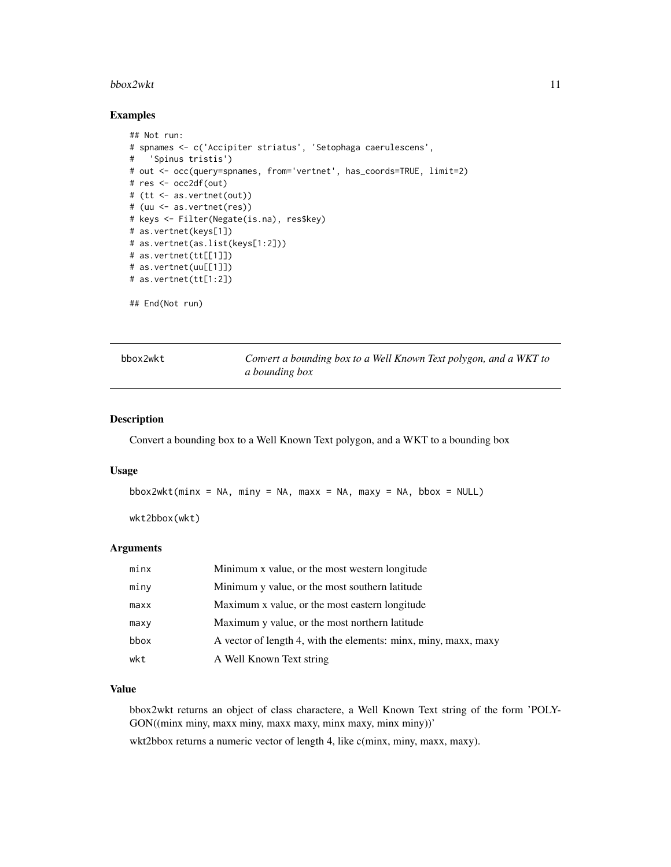#### <span id="page-10-0"></span>bbox2wkt 11

#### Examples

```
## Not run:
# spnames <- c('Accipiter striatus', 'Setophaga caerulescens',
# 'Spinus tristis')
# out <- occ(query=spnames, from='vertnet', has_coords=TRUE, limit=2)
# res <- occ2df(out)
# (tt <- as.vertnet(out))
# (uu <- as.vertnet(res))
# keys <- Filter(Negate(is.na), res$key)
# as.vertnet(keys[1])
# as.vertnet(as.list(keys[1:2]))
# as.vertnet(tt[[1]])
# as.vertnet(uu[[1]])
# as.vertnet(tt[1:2])
## End(Not run)
```
<span id="page-10-1"></span>

bbox2wkt *Convert a bounding box to a Well Known Text polygon, and a WKT to a bounding box*

#### Description

Convert a bounding box to a Well Known Text polygon, and a WKT to a bounding box

#### Usage

```
\text{bbox2wkt}(\text{min} x = \text{NA}, \text{min} y = \text{NA}, \text{max} x = \text{NA}, \text{max} y = \text{NA}, \text{bbox} = \text{NULL})
```
wkt2bbox(wkt)

#### Arguments

| minx | Minimum x value, or the most western longitude                  |
|------|-----------------------------------------------------------------|
| miny | Minimum y value, or the most southern latitude                  |
| maxx | Maximum x value, or the most eastern longitude                  |
| maxy | Maximum y value, or the most northern latitude                  |
| bbox | A vector of length 4, with the elements: minx, miny, maxx, maxy |
| wkt  | A Well Known Text string                                        |

#### Value

bbox2wkt returns an object of class charactere, a Well Known Text string of the form 'POLY-GON((minx miny, maxx miny, maxx maxy, minx maxy, minx miny))'

wkt2bbox returns a numeric vector of length 4, like c(minx, miny, maxx, maxy).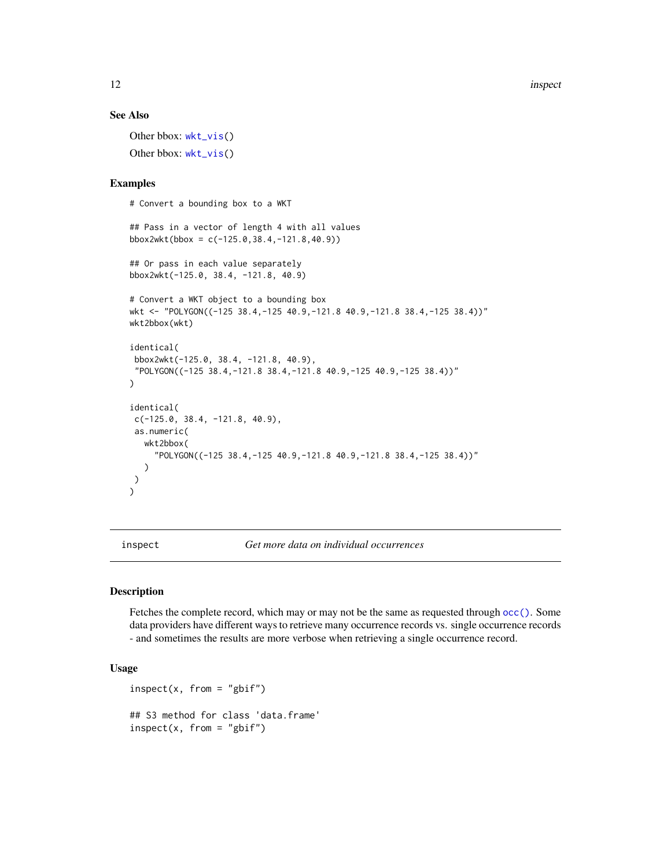#### See Also

Other bbox: [wkt\\_vis\(](#page-30-1)) Other bbox: [wkt\\_vis\(](#page-30-1))

#### Examples

# Convert a bounding box to a WKT

```
## Pass in a vector of length 4 with all values
bbox2wkt(bbox = c(-125.0, 38.4, -121.8, 40.9))
## Or pass in each value separately
bbox2wkt(-125.0, 38.4, -121.8, 40.9)
# Convert a WKT object to a bounding box
wkt <- "POLYGON((-125 38.4,-125 40.9,-121.8 40.9,-121.8 38.4,-125 38.4))"
wkt2bbox(wkt)
identical(
bbox2wkt(-125.0, 38.4, -121.8, 40.9),
 "POLYGON((-125 38.4,-121.8 38.4,-121.8 40.9,-125 40.9,-125 38.4))"
)
identical(
c(-125.0, 38.4, -121.8, 40.9),
 as.numeric(
   wkt2bbox(
     "POLYGON((-125 38.4,-125 40.9,-121.8 40.9,-121.8 38.4,-125 38.4))"
   )
)
\lambda
```
inspect *Get more data on individual occurrences*

#### Description

Fetches the complete record, which may or may not be the same as requested through [occ\(\)](#page-12-1). Some data providers have different ways to retrieve many occurrence records vs. single occurrence records - and sometimes the results are more verbose when retrieving a single occurrence record.

# Usage

```
inspect(x, from = "gbir")## S3 method for class 'data.frame'
inspect(x, from = "gbir")
```
<span id="page-11-0"></span>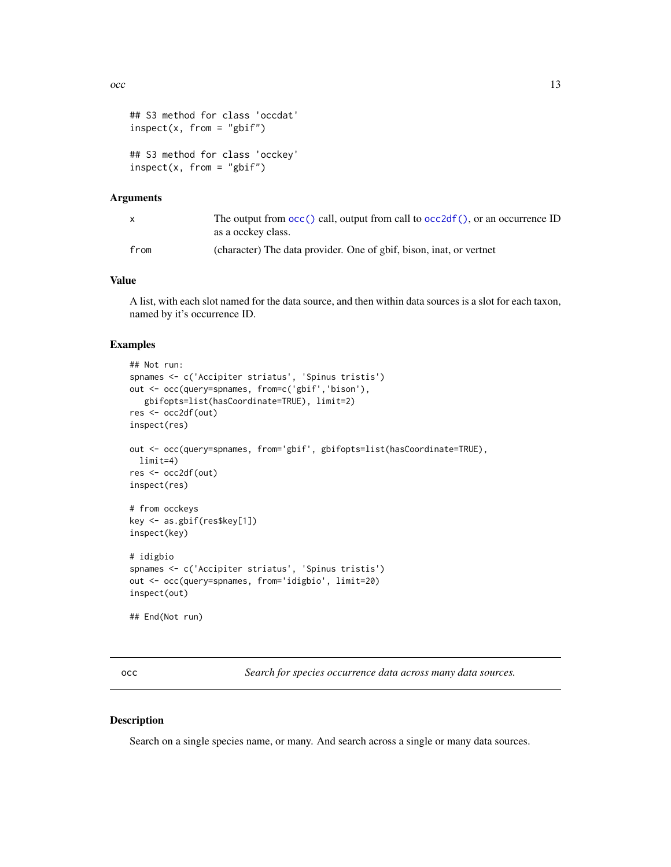```
## S3 method for class 'occdat'
inspect(x, from = "gbif")## S3 method for class 'occkey'
inspect(x, from = "gbir")
```
#### Arguments

| $\mathsf{x}$ | The output from $\text{occ}()$ call, output from call to $\text{occ2df}()$ , or an occurrence ID<br>as a occkey class. |
|--------------|------------------------------------------------------------------------------------------------------------------------|
| from         | (character) The data provider. One of gbif, bison, inat, or vertnet                                                    |

#### Value

A list, with each slot named for the data source, and then within data sources is a slot for each taxon, named by it's occurrence ID.

#### Examples

```
## Not run:
spnames <- c('Accipiter striatus', 'Spinus tristis')
out <- occ(query=spnames, from=c('gbif','bison'),
  gbifopts=list(hasCoordinate=TRUE), limit=2)
res <- occ2df(out)
inspect(res)
out <- occ(query=spnames, from='gbif', gbifopts=list(hasCoordinate=TRUE),
  limit=4)
res <- occ2df(out)
inspect(res)
# from occkeys
key <- as.gbif(res$key[1])
inspect(key)
# idigbio
spnames <- c('Accipiter striatus', 'Spinus tristis')
out <- occ(query=spnames, from='idigbio', limit=20)
inspect(out)
## End(Not run)
```
<span id="page-12-1"></span>occ *Search for species occurrence data across many data sources.*

#### Description

Search on a single species name, or many. And search across a single or many data sources.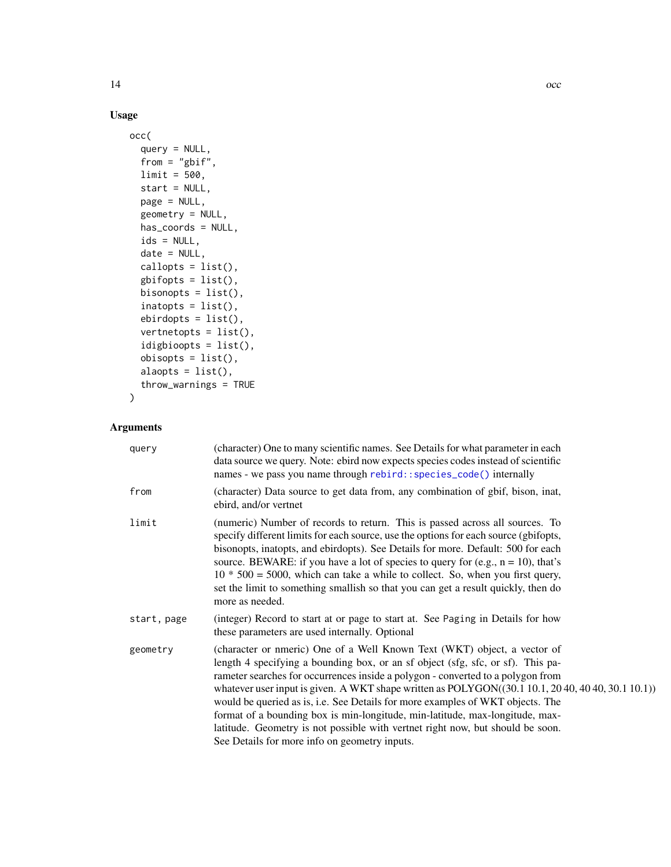# Usage

```
occ(
  query = NULL,
  from = "gbif",
 limit = 500,
 start = NULL,
 page = NULL,
 geometry = NULL,
 has_coords = NULL,
 ids = NULL,date = NULL,
 callopts = list(),gbifopts = list(),bisonopts = list(),
  inatopts = list(),
 ebirdopts = list(),
 vertnetopts = list(),
  idigbioopts = list(),
 obisopts = list(),alaopts = list(),
 throw_warnings = TRUE
)
```

| query       | (character) One to many scientific names. See Details for what parameter in each<br>data source we query. Note: ebird now expects species codes instead of scientific<br>names - we pass you name through rebird:: species_code() internally                                                                                                                                                                                                                                                                                                                                                                                                                |
|-------------|-------------------------------------------------------------------------------------------------------------------------------------------------------------------------------------------------------------------------------------------------------------------------------------------------------------------------------------------------------------------------------------------------------------------------------------------------------------------------------------------------------------------------------------------------------------------------------------------------------------------------------------------------------------|
| from        | (character) Data source to get data from, any combination of gbif, bison, inat,<br>ebird, and/or vertnet                                                                                                                                                                                                                                                                                                                                                                                                                                                                                                                                                    |
| limit       | (numeric) Number of records to return. This is passed across all sources. To<br>specify different limits for each source, use the options for each source (gbifopts,<br>bisonopts, inatopts, and ebirdopts). See Details for more. Default: 500 for each<br>source. BEWARE: if you have a lot of species to query for (e.g., $n = 10$ ), that's<br>$10 * 500 = 5000$ , which can take a while to collect. So, when you first query,<br>set the limit to something smallish so that you can get a result quickly, then do<br>more as needed.                                                                                                                 |
| start, page | (integer) Record to start at or page to start at. See Paging in Details for how<br>these parameters are used internally. Optional                                                                                                                                                                                                                                                                                                                                                                                                                                                                                                                           |
| geometry    | (character or nmeric) One of a Well Known Text (WKT) object, a vector of<br>length 4 specifying a bounding box, or an sf object (sfg, sfc, or sf). This pa-<br>rameter searches for occurrences inside a polygon - converted to a polygon from<br>whatever user input is given. A WKT shape written as $POLYGON((30.1 10.1, 20 40, 40 40, 30.1 10.1))$<br>would be queried as is, i.e. See Details for more examples of WKT objects. The<br>format of a bounding box is min-longitude, min-latitude, max-longitude, max-<br>latitude. Geometry is not possible with vertnet right now, but should be soon.<br>See Details for more info on geometry inputs. |

<span id="page-13-0"></span>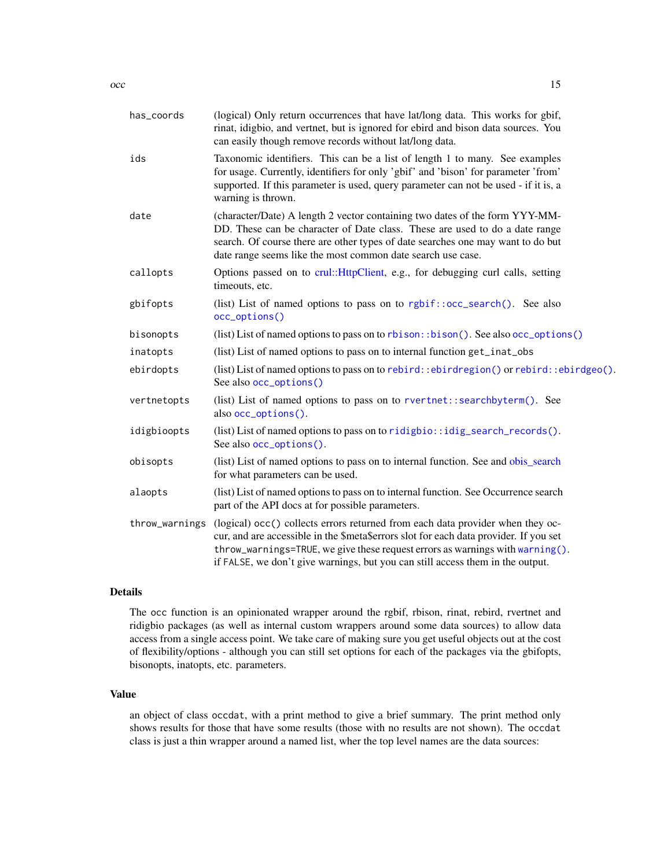<span id="page-14-0"></span>

| has_coords     | (logical) Only return occurrences that have lat/long data. This works for gbif,<br>rinat, idigbio, and vertnet, but is ignored for ebird and bison data sources. You<br>can easily though remove records without lat/long data.                                                                                                            |
|----------------|--------------------------------------------------------------------------------------------------------------------------------------------------------------------------------------------------------------------------------------------------------------------------------------------------------------------------------------------|
| ids            | Taxonomic identifiers. This can be a list of length 1 to many. See examples<br>for usage. Currently, identifiers for only 'gbif' and 'bison' for parameter 'from'<br>supported. If this parameter is used, query parameter can not be used - if it is, a<br>warning is thrown.                                                             |
| date           | (character/Date) A length 2 vector containing two dates of the form YYY-MM-<br>DD. These can be character of Date class. These are used to do a date range<br>search. Of course there are other types of date searches one may want to do but<br>date range seems like the most common date search use case.                               |
| callopts       | Options passed on to crul::HttpClient, e.g., for debugging curl calls, setting<br>timeouts, etc.                                                                                                                                                                                                                                           |
| gbifopts       | (list) List of named options to pass on to rgbif::occ_search(). See also<br>occ_options()                                                                                                                                                                                                                                                  |
| bisonopts      | (list) List of named options to pass on to rbison: :bison(). See also occ_options()                                                                                                                                                                                                                                                        |
| inatopts       | (list) List of named options to pass on to internal function get_inat_obs                                                                                                                                                                                                                                                                  |
| ebirdopts      | (list) List of named options to pass on to rebird: : ebirdregion () or rebird: : ebirdgeo ().<br>See also occ_options()                                                                                                                                                                                                                    |
| vertnetopts    | (list) List of named options to pass on to rvertnet::searchbyterm(). See<br>also occ_options().                                                                                                                                                                                                                                            |
| idigbioopts    | (list) List of named options to pass on to ridigbio::idig_search_records().<br>See also occ_options().                                                                                                                                                                                                                                     |
| obisopts       | (list) List of named options to pass on to internal function. See and obis_search<br>for what parameters can be used.                                                                                                                                                                                                                      |
| alaopts        | (list) List of named options to pass on to internal function. See Occurrence search<br>part of the API docs at for possible parameters.                                                                                                                                                                                                    |
| throw_warnings | (logical) occ() collects errors returned from each data provider when they oc-<br>cur, and are accessible in the \$meta\$errors slot for each data provider. If you set<br>throw_warnings=TRUE, we give these request errors as warnings with warning().<br>if FALSE, we don't give warnings, but you can still access them in the output. |
|                |                                                                                                                                                                                                                                                                                                                                            |

### Details

The occ function is an opinionated wrapper around the rgbif, rbison, rinat, rebird, rvertnet and ridigbio packages (as well as internal custom wrappers around some data sources) to allow data access from a single access point. We take care of making sure you get useful objects out at the cost of flexibility/options - although you can still set options for each of the packages via the gbifopts, bisonopts, inatopts, etc. parameters.

#### Value

an object of class occdat, with a print method to give a brief summary. The print method only shows results for those that have some results (those with no results are not shown). The occdat class is just a thin wrapper around a named list, wher the top level names are the data sources: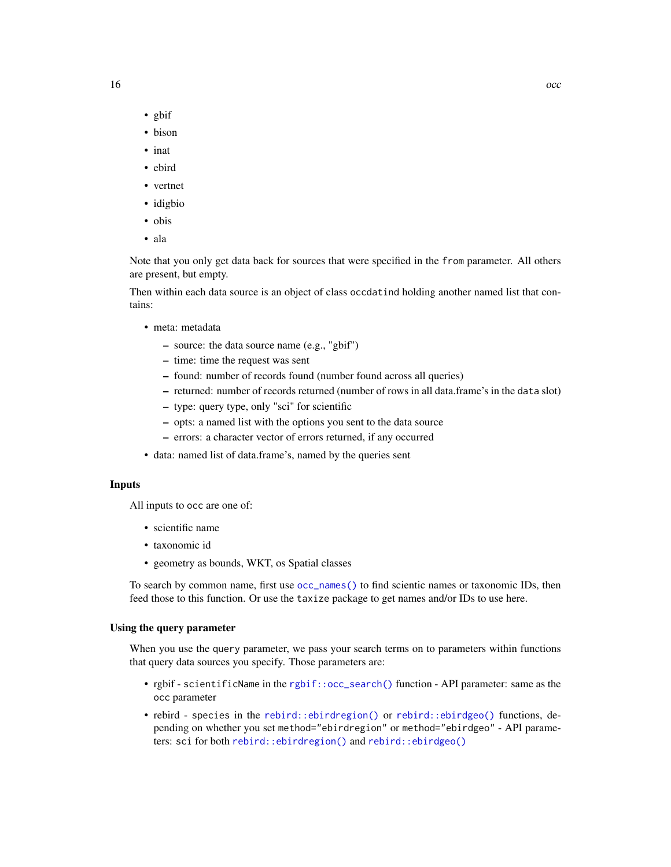- <span id="page-15-0"></span>• gbif
- bison
- inat
- ebird
- vertnet
- idigbio
- obis
- ala

Note that you only get data back for sources that were specified in the from parameter. All others are present, but empty.

Then within each data source is an object of class occdatind holding another named list that contains:

- meta: metadata
	- source: the data source name (e.g., "gbif")
	- time: time the request was sent
	- found: number of records found (number found across all queries)
	- returned: number of records returned (number of rows in all data.frame's in the data slot)
	- type: query type, only "sci" for scientific
	- opts: a named list with the options you sent to the data source
	- errors: a character vector of errors returned, if any occurred
- data: named list of data.frame's, named by the queries sent

#### Inputs

All inputs to occ are one of:

- scientific name
- taxonomic id
- geometry as bounds, WKT, os Spatial classes

To search by common name, first use [occ\\_names\(\)](#page-26-1) to find scientic names or taxonomic IDs, then feed those to this function. Or use the taxize package to get names and/or IDs to use here.

#### Using the query parameter

When you use the query parameter, we pass your search terms on to parameters within functions that query data sources you specify. Those parameters are:

- rgbif scientificName in the [rgbif::occ\\_search\(\)](#page-0-0) function API parameter: same as the occ parameter
- rebird species in the [rebird::ebirdregion\(\)](#page-0-0) or [rebird::ebirdgeo\(\)](#page-0-0) functions, depending on whether you set method="ebirdregion" or method="ebirdgeo" - API parameters: sci for both [rebird::ebirdregion\(\)](#page-0-0) and [rebird::ebirdgeo\(\)](#page-0-0)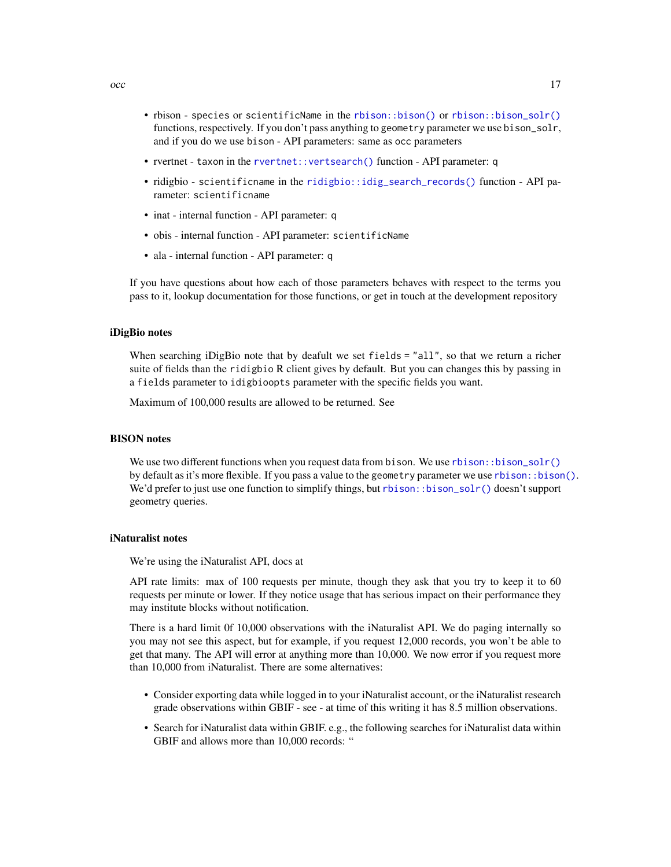- <span id="page-16-0"></span>• rbison - species or scientificName in the [rbison::bison\(\)](#page-0-0) or [rbison::bison\\_solr\(\)](#page-0-0) functions, respectively. If you don't pass anything to geometry parameter we use bison\_solr, and if you do we use bison - API parameters: same as occ parameters
- rvertnet taxon in the [rvertnet::vertsearch\(\)](#page-0-0) function API parameter: q
- ridigbio scientificname in the [ridigbio::idig\\_search\\_records\(\)](#page-0-0) function API parameter: scientificname
- inat internal function API parameter: q
- obis internal function API parameter: scientificName
- ala internal function API parameter: q

If you have questions about how each of those parameters behaves with respect to the terms you pass to it, lookup documentation for those functions, or get in touch at the development repository

#### iDigBio notes

When searching iDigBio note that by deafult we set fields = "all", so that we return a richer suite of fields than the ridigbio R client gives by default. But you can changes this by passing in a fields parameter to idigbioopts parameter with the specific fields you want.

Maximum of 100,000 results are allowed to be returned. See

#### BISON notes

We use two different functions when you request data from bison. We use  $rbison:ibison\_solr()$ by default as it's more flexible. If you pass a value to the geometry parameter we use [rbison::bison\(\)](#page-0-0). We'd prefer to just use one function to simplify things, but rbison: : bison\_solr() doesn't support geometry queries.

#### iNaturalist notes

We're using the iNaturalist API, docs at

API rate limits: max of 100 requests per minute, though they ask that you try to keep it to 60 requests per minute or lower. If they notice usage that has serious impact on their performance they may institute blocks without notification.

There is a hard limit 0f 10,000 observations with the iNaturalist API. We do paging internally so you may not see this aspect, but for example, if you request 12,000 records, you won't be able to get that many. The API will error at anything more than 10,000. We now error if you request more than 10,000 from iNaturalist. There are some alternatives:

- Consider exporting data while logged in to your iNaturalist account, or the iNaturalist research grade observations within GBIF - see - at time of this writing it has 8.5 million observations.
- Search for iNaturalist data within GBIF. e.g., the following searches for iNaturalist data within GBIF and allows more than 10,000 records: "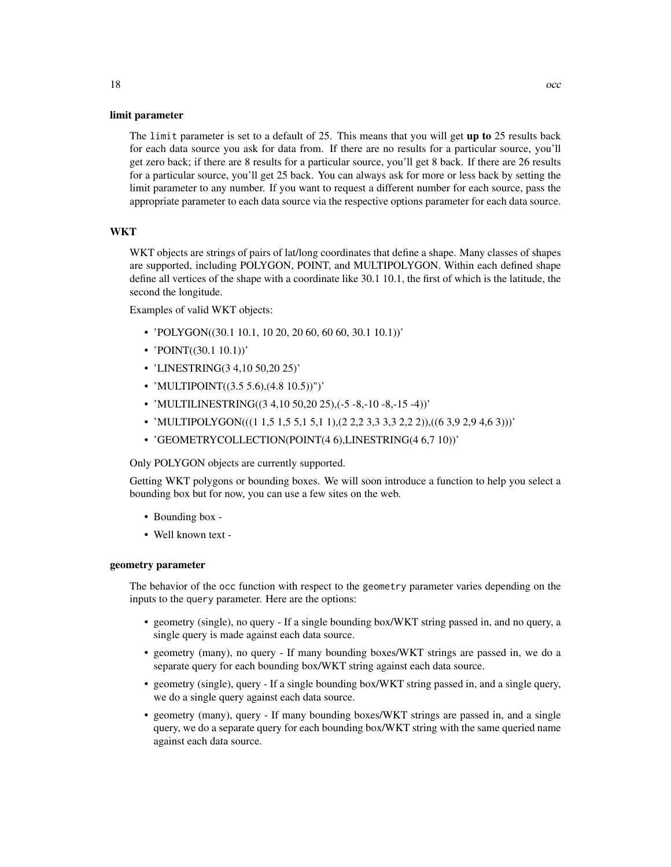#### limit parameter

The limit parameter is set to a default of 25. This means that you will get up to 25 results back for each data source you ask for data from. If there are no results for a particular source, you'll get zero back; if there are 8 results for a particular source, you'll get 8 back. If there are 26 results for a particular source, you'll get 25 back. You can always ask for more or less back by setting the limit parameter to any number. If you want to request a different number for each source, pass the appropriate parameter to each data source via the respective options parameter for each data source.

#### WKT

WKT objects are strings of pairs of lat/long coordinates that define a shape. Many classes of shapes are supported, including POLYGON, POINT, and MULTIPOLYGON. Within each defined shape define all vertices of the shape with a coordinate like 30.1 10.1, the first of which is the latitude, the second the longitude.

Examples of valid WKT objects:

- 'POLYGON $((30.1 10.1, 10 20, 20 60, 60 60, 30.1 10.1))$ '
- 'POINT((30.1 10.1))'
- 'LINESTRING(3 4,10 50,20 25)'
- 'MULTIPOINT $((3.5 5.6),(4.8 10.5))]$ '
- 'MULTILINESTRING( $(3\ 4, 10\ 50, 20\ 25)$ , $(-5\ -8, -10\ -8, -15\ -4)$ )'
- 'MULTIPOLYGON( $((1\ 1,5\ 1,5\ 5,1\ 5,1\ 1), (2\ 2,2\ 3,3\ 3,3\ 2,2\ 2)), ((6\ 3,9\ 2,9\ 4,6\ 3)))'$
- 'GEOMETRYCOLLECTION(POINT(4 6),LINESTRING(4 6,7 10))'

Only POLYGON objects are currently supported.

Getting WKT polygons or bounding boxes. We will soon introduce a function to help you select a bounding box but for now, you can use a few sites on the web.

- Bounding box -
- Well known text -

#### geometry parameter

The behavior of the occ function with respect to the geometry parameter varies depending on the inputs to the query parameter. Here are the options:

- geometry (single), no query If a single bounding box/WKT string passed in, and no query, a single query is made against each data source.
- geometry (many), no query If many bounding boxes/WKT strings are passed in, we do a separate query for each bounding box/WKT string against each data source.
- geometry (single), query If a single bounding box/WKT string passed in, and a single query, we do a single query against each data source.
- geometry (many), query If many bounding boxes/WKT strings are passed in, and a single query, we do a separate query for each bounding box/WKT string with the same queried name against each data source.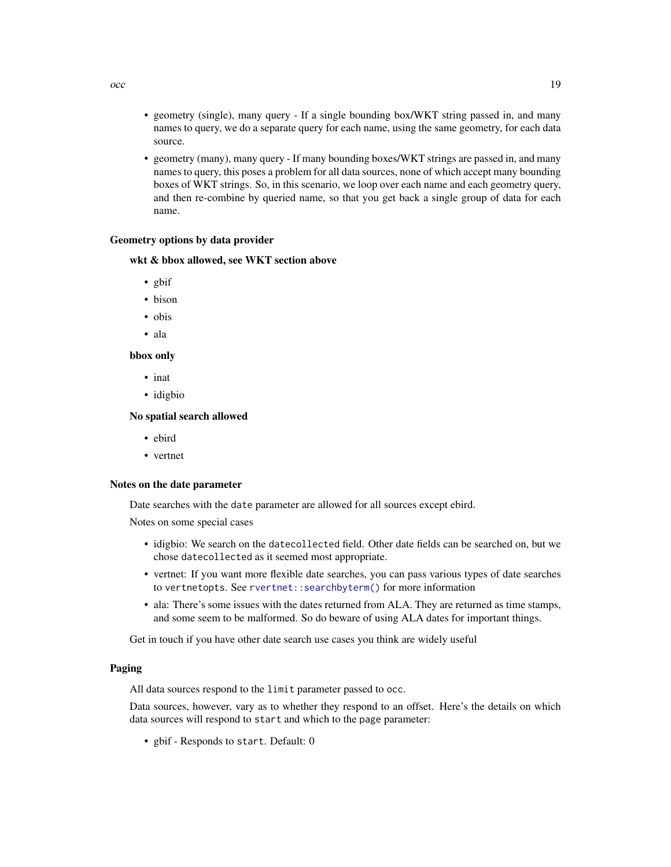- geometry (single), many query If a single bounding box/WKT string passed in, and many names to query, we do a separate query for each name, using the same geometry, for each data
- geometry (many), many query If many bounding boxes/WKT strings are passed in, and many names to query, this poses a problem for all data sources, none of which accept many bounding boxes of WKT strings. So, in this scenario, we loop over each name and each geometry query, and then re-combine by queried name, so that you get back a single group of data for each name.

#### Geometry options by data provider

#### wkt & bbox allowed, see WKT section above

• gbif

source.

- bison
- obis
- ala

#### bbox only

- inat
- idigbio

#### No spatial search allowed

- ebird
- vertnet

#### Notes on the date parameter

Date searches with the date parameter are allowed for all sources except ebird.

Notes on some special cases

- idigbio: We search on the datecollected field. Other date fields can be searched on, but we chose datecollected as it seemed most appropriate.
- vertnet: If you want more flexible date searches, you can pass various types of date searches to vertnetopts. See [rvertnet::searchbyterm\(\)](#page-0-0) for more information
- ala: There's some issues with the dates returned from ALA. They are returned as time stamps, and some seem to be malformed. So do beware of using ALA dates for important things.

Get in touch if you have other date search use cases you think are widely useful

#### Paging

All data sources respond to the limit parameter passed to occ.

Data sources, however, vary as to whether they respond to an offset. Here's the details on which data sources will respond to start and which to the page parameter:

• gbif - Responds to start. Default: 0

<span id="page-18-0"></span> $\rm{occ}$  19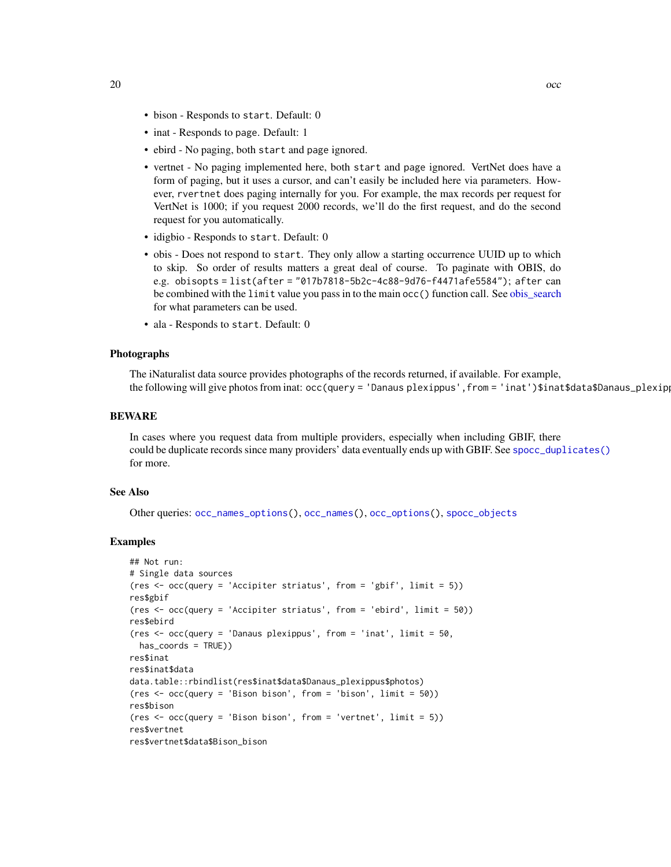- <span id="page-19-0"></span>• bison - Responds to start. Default: 0
- inat Responds to page. Default: 1
- ebird No paging, both start and page ignored.
- vertnet No paging implemented here, both start and page ignored. VertNet does have a form of paging, but it uses a cursor, and can't easily be included here via parameters. However, rvertnet does paging internally for you. For example, the max records per request for VertNet is 1000; if you request 2000 records, we'll do the first request, and do the second request for you automatically.
- idigbio Responds to start. Default: 0
- obis Does not respond to start. They only allow a starting occurrence UUID up to which to skip. So order of results matters a great deal of course. To paginate with OBIS, do e.g. obisopts = list(after = "017b7818-5b2c-4c88-9d76-f4471afe5584"); after can be combined with the limit value you pass in to the main occ() function call. See [obis\\_search](#page-0-0) for what parameters can be used.
- ala Responds to start. Default: 0

#### Photographs

The iNaturalist data source provides photographs of the records returned, if available. For example, the following will give photos from inat: occ(query = 'Danaus plexippus', from = 'inat')\$inat\$data\$Danaus\_plexip

#### BEWARE

In cases where you request data from multiple providers, especially when including GBIF, there could be duplicate records since many providers' data eventually ends up with GBIF. See [spocc\\_duplicates\(\)](#page-30-2) for more.

#### See Also

Other queries: [occ\\_names\\_options\(](#page-28-1)), [occ\\_names\(](#page-26-1)), [occ\\_options\(](#page-29-1)), [spocc\\_objects](#page-0-0)

#### Examples

```
## Not run:
# Single data sources
(res \leq occ(query = 'Accipiter striatus', from = 'gbif', limit = 5))
res$gbif
(res <- occ(query = 'Accipiter striatus', from = 'ebird', limit = 50))
res$ebird
(res <- occ(query = 'Danaus plexippus', from = 'inat', limit = 50,
 has_coords = TRUE))
res$inat
res$inat$data
data.table::rbindlist(res$inat$data$Danaus_plexippus$photos)
(res \leq occ(query = 'Bison bison', from = 'bison', limit = 50))
res$bison
(res <- occ(query = 'Bison bison', from = 'vertnet', limit = 5))
res$vertnet
res$vertnet$data$Bison_bison
```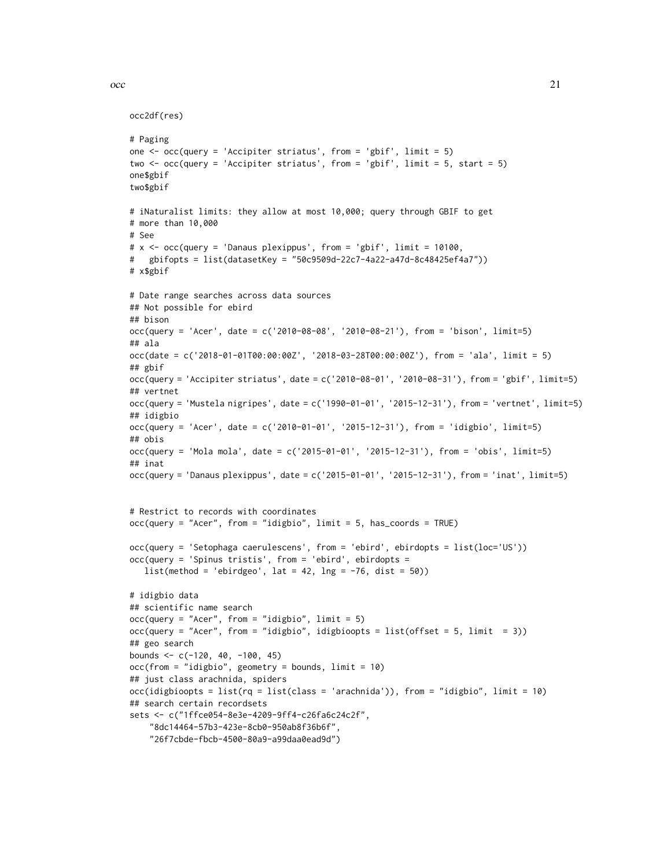```
\rm{occ} 21
```

```
occ2df(res)
```

```
# Paging
one \leq occ(query = 'Accipiter striatus', from = 'gbif', limit = 5)
two <- occ(query = 'Accipiter striatus', from = 'gbif', limit = 5, start = 5)
one$gbif
two$gbif
# iNaturalist limits: they allow at most 10,000; query through GBIF to get
# more than 10,000
# See
# x <- occ(query = 'Danaus plexippus', from = 'gbif', limit = 10100,
# gbifopts = list(datasetKey = "50c9509d-22c7-4a22-a47d-8c48425ef4a7"))
# x$gbif
# Date range searches across data sources
## Not possible for ebird
## bison
occ(query = 'Acer', date = c('2010-08-08', '2010-08-21'), from = 'bison', limit=5)
## ala
occ(date = c('2018-01-01T00:00:00Z', '2018-03-28T00:00:00Z'), from = 'ala', limit = 5)
## gbif
occ(query = 'Accipiter striatus', date = c('2010-08-01', '2010-08-31'), from = 'gbif', limit=5)
## vertnet
occ(query = 'Mustela nigripes', date = c('1990-01-01', '2015-12-31'), from = 'vertnet', limit=5)
## idigbio
occ(query = 'Acer', date = c('2010-01-01', '2015-12-31'), from = 'idigbio', limit=5)
## obis
occ(query = 'Mola mola', date = c('2015-01-01', '2015-12-31'), from = 'obis', limit=5)
## inat
occ(query = 'Danaus plexippus', date = c('2015-01-01', '2015-12-31'), from = 'inat', limit=5)
# Restrict to records with coordinates
occ(query = "Acer", from = "idigbio", limit = 5, has_coords = TRUE)
occ(query = 'Setophaga caerulescens', from = 'ebird', ebirdopts = list(loc='US'))
occ(query = 'Spinus tristis', from = 'ebird', ebirdopts =
   list(method = 'ebirdgeo', lat = 42, Ing = -76, dist = 50))# idigbio data
## scientific name search
occ(query = "Acer", from = "idigbio", limit = 5)occ(query = "Acer", from = "idigbio", idigbioopts = list(offset = 5, limit = 3))
## geo search
bounds <-c(-120, 40, -100, 45)occ(from = "idigbio", geometry = bounds, limit = 10)## just class arachnida, spiders
occ(idigbioopts = list(rq = list(class = 'arachnida')), from = "idigbio", limit = 10)
## search certain recordsets
sets <- c("1ffce054-8e3e-4209-9ff4-c26fa6c24c2f",
    "8dc14464-57b3-423e-8cb0-950ab8f36b6f",
    "26f7cbde-fbcb-4500-80a9-a99daa0ead9d")
```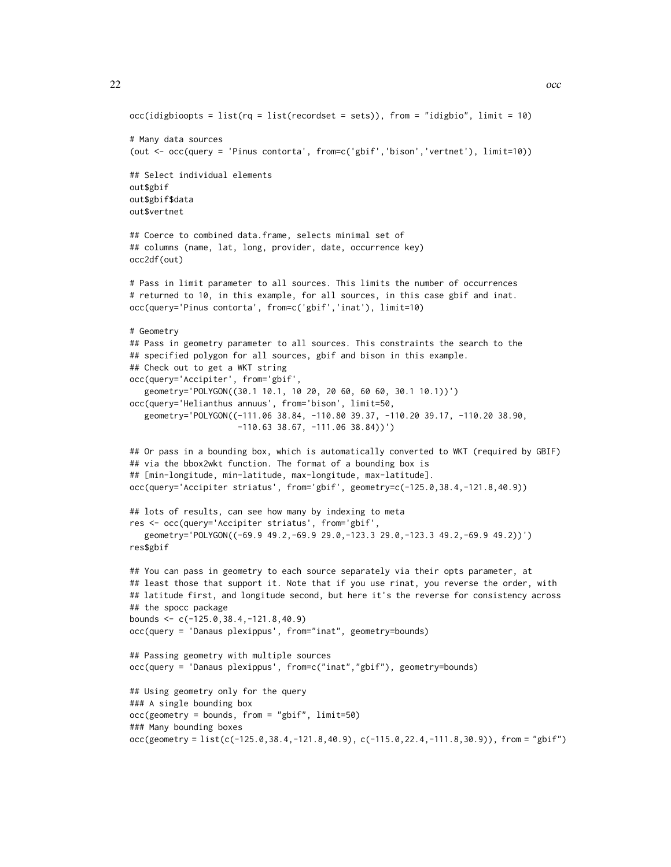```
22 \sim 0.000 \sim 0.000 \sim 0.000 \sim 0.000 \sim 0.000 \sim 0.000 \sim 0.000 \sim 0.000 \sim 0.000 \sim 0.000 \sim 0.000 \sim 0.000 \sim 0.000 \sim 0.000 \sim 0.000 \sim 0.000 \sim 0.000 \sim 0.000 \sim 0.000 \sim 0.00
```

```
occ(idigbioopts = list(rq = list(recordset = sets)), from = "idigbio", limit = 10)
# Many data sources
(out <- occ(query = 'Pinus contorta', from=c('gbif','bison','vertnet'), limit=10))
## Select individual elements
out$gbif
out$gbif$data
out$vertnet
## Coerce to combined data.frame, selects minimal set of
## columns (name, lat, long, provider, date, occurrence key)
occ2df(out)
# Pass in limit parameter to all sources. This limits the number of occurrences
# returned to 10, in this example, for all sources, in this case gbif and inat.
occ(query='Pinus contorta', from=c('gbif','inat'), limit=10)
# Geometry
## Pass in geometry parameter to all sources. This constraints the search to the
## specified polygon for all sources, gbif and bison in this example.
## Check out to get a WKT string
occ(query='Accipiter', from='gbif',
   geometry='POLYGON((30.1 10.1, 10 20, 20 60, 60 60, 30.1 10.1))')
occ(query='Helianthus annuus', from='bison', limit=50,
   geometry='POLYGON((-111.06 38.84, -110.80 39.37, -110.20 39.17, -110.20 38.90,
                      -110.63 38.67, -111.06 38.84))')
## Or pass in a bounding box, which is automatically converted to WKT (required by GBIF)
## via the bbox2wkt function. The format of a bounding box is
## [min-longitude, min-latitude, max-longitude, max-latitude].
occ(query='Accipiter striatus', from='gbif', geometry=c(-125.0,38.4,-121.8,40.9))
## lots of results, can see how many by indexing to meta
res <- occ(query='Accipiter striatus', from='gbif',
   geometry='POLYGON((-69.9 49.2,-69.9 29.0,-123.3 29.0,-123.3 49.2,-69.9 49.2))')
res$gbif
## You can pass in geometry to each source separately via their opts parameter, at
## least those that support it. Note that if you use rinat, you reverse the order, with
## latitude first, and longitude second, but here it's the reverse for consistency across
## the spocc package
bounds <- c(-125.0,38.4,-121.8,40.9)
occ(query = 'Danaus plexippus', from="inat", geometry=bounds)
## Passing geometry with multiple sources
occ(query = 'Danaus plexippus', from=c("inat","gbif"), geometry=bounds)
## Using geometry only for the query
### A single bounding box
occ(geometry = bounds, from = "gbif", limit=50)
### Many bounding boxes
occ(geometry = list(c(-125.0, 38.4, -121.8, 40.9), c(-115.0, 22.4, -111.8, 30.9)), from = "gbif")
```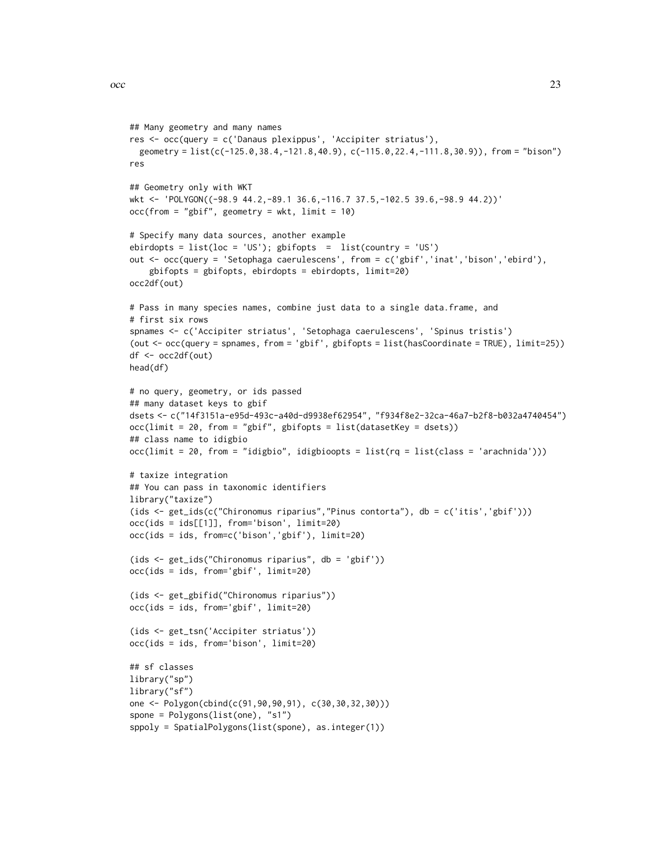```
## Many geometry and many names
res <- occ(query = c('Danaus plexippus', 'Accipiter striatus'),
  geometry = list(c(-125.0,38.4,-121.8,40.9), c(-115.0,22.4,-111.8,30.9)), from = "bison")
res
## Geometry only with WKT
wkt <- 'POLYGON((-98.9 44.2,-89.1 36.6,-116.7 37.5,-102.5 39.6,-98.9 44.2))'
occ(from = "gbif", geometry = wkt, limit = 10)# Specify many data sources, another example
ebirdopts = list(loc = 'US'); gbifopts = list(country = 'US')
out <- occ(query = 'Setophaga caerulescens', from = c('gbif','inat','bison','ebird'),
    gbifopts = gbifopts, ebirdopts = ebirdopts, limit=20)
occ2df(out)
# Pass in many species names, combine just data to a single data.frame, and
# first six rows
spnames <- c('Accipiter striatus', 'Setophaga caerulescens', 'Spinus tristis')
(out <- occ(query = spnames, from = 'gbif', gbifopts = list(hasCoordinate = TRUE), limit=25))
df <- occ2df(out)
head(df)
# no query, geometry, or ids passed
## many dataset keys to gbif
dsets <- c("14f3151a-e95d-493c-a40d-d9938ef62954", "f934f8e2-32ca-46a7-b2f8-b032a4740454")
occ(limit = 20, from = "gbif", gbifopts = list(datasetKey = dests))## class name to idigbio
occ(limit = 20, from = "idigbio", idigbioopts = list(rq = list(class = 'arachnida')))
# taxize integration
## You can pass in taxonomic identifiers
library("taxize")
(ids <- get_ids(c("Chironomus riparius","Pinus contorta"), db = c('itis','gbif')))
occ(ids = ids[[1]], from='bison', limit=20)
occ(ids = ids, from=c('bison','gbif'), limit=20)
(ids <- get_ids("Chironomus riparius", db = 'gbif'))
occ(ids = ids, from='gbif', limit=20)
(ids <- get_gbifid("Chironomus riparius"))
occ(ids = ids, from='gbif', limit=20)
(ids <- get_tsn('Accipiter striatus'))
occ(ids = ids, from='bison', limit=20)
## sf classes
library("sp")
library("sf")
one <- Polygon(cbind(c(91,90,90,91), c(30,30,32,30)))
spone = Polygons(list(one), "s1")
sppoly = SpatialPolygons(list(spone), as.integer(1))
```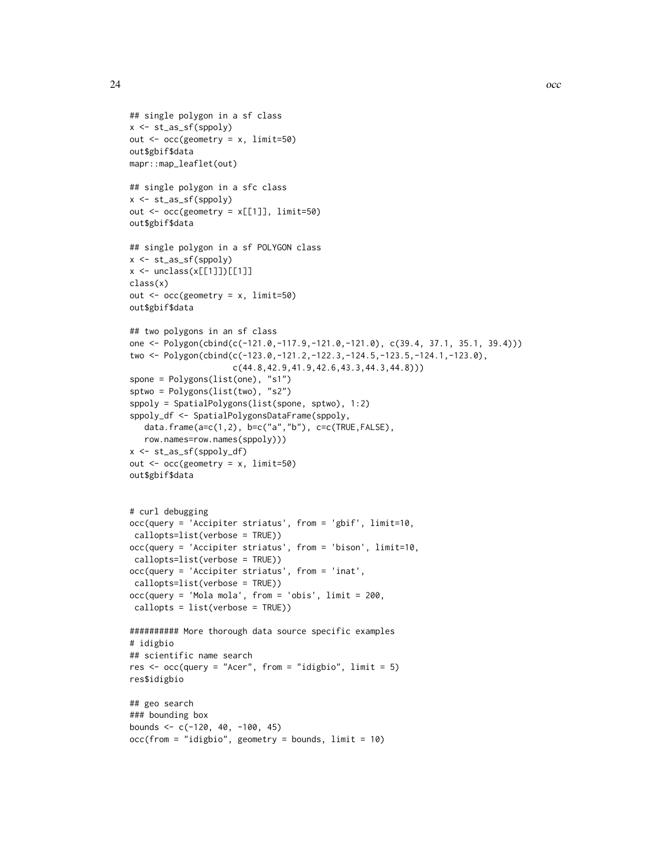```
## single polygon in a sf class
x <- st_as_sf(sppoly)
out \leq occ(geometry = x, limit=50)
out$gbif$data
mapr::map_leaflet(out)
## single polygon in a sfc class
x <- st_as_sf(sppoly)
out \leq occ(geometry = x[[1]], limit=50)
out$gbif$data
## single polygon in a sf POLYGON class
x <- st_as_sf(sppoly)
x \leftarrow unclass(x[[1]])[[1]]class(x)
out \leq occ(geometry = x, limit=50)
out$gbif$data
## two polygons in an sf class
one <- Polygon(cbind(c(-121.0,-117.9,-121.0,-121.0), c(39.4, 37.1, 35.1, 39.4)))
two <- Polygon(cbind(c(-123.0,-121.2,-122.3,-124.5,-123.5,-124.1,-123.0),
                     c(44.8,42.9,41.9,42.6,43.3,44.3,44.8)))
spone = Polygons(list(one), "s1")
sptwo = Polygons(list(two), "s2")
sppoly = SpatialPolygons(list(spone, sptwo), 1:2)
sppoly_df <- SpatialPolygonsDataFrame(sppoly,
   data.frame(a=c(1,2), b=c("a","b"), c=c(TRUE,FALSE),
   row.names=row.names(sppoly)))
x <- st_as_sf(sppoly_df)
out <- occ(geometry = x, limit=50)
out$gbif$data
# curl debugging
occ(query = 'Accipiter striatus', from = 'gbif', limit=10,
 callopts=list(verbose = TRUE))
occ(query = 'Accipiter striatus', from = 'bison', limit=10,
 callopts=list(verbose = TRUE))
occ(query = 'Accipiter striatus', from = 'inat',
 callopts=list(verbose = TRUE))
occ(query = 'Mola mola', from = 'obis', limit = 200,
callopts = list(verbose = TRUE))
########## More thorough data source specific examples
# idigbio
## scientific name search
res \leq occ(query = "Acer", from = "idigbio", limit = 5)
res$idigbio
## geo search
### bounding box
bounds <- c(-120, 40, -100, 45)
occ(from = "idigbio", geometry = bounds, limit = 10)
```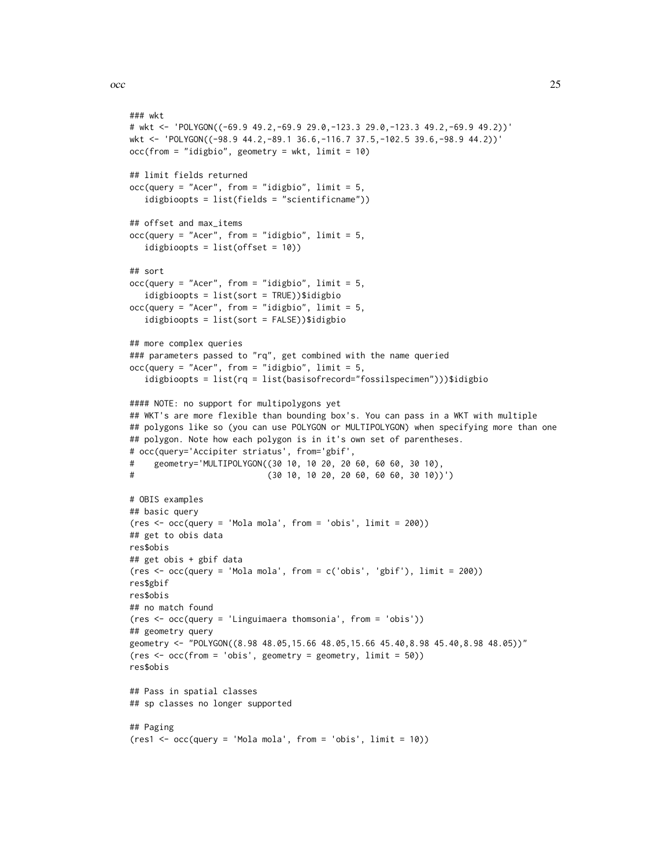```
### wkt
# wkt <- 'POLYGON((-69.9 49.2,-69.9 29.0,-123.3 29.0,-123.3 49.2,-69.9 49.2))'
wkt <- 'POLYGON((-98.9 44.2,-89.1 36.6,-116.7 37.5,-102.5 39.6,-98.9 44.2))'
occ(from = "idigbio", geometry = wkt, limit = 10)## limit fields returned
occ(query = "Acer", from = "idigbio", limit = 5,idigbioopts = list(fields = "scientificname"))
## offset and max_items
occ(query = "Acer", from = "idigbio", limit = 5,idigbioopts = list(offset = 10))
## sort
occ(query = "Acer", from = "idigbio", limit = 5,idigbioopts = list(sort = TRUE))$idigbio
occ(query = "Acer", from = "idigbio", limit = 5,
   idigbioopts = list(sort = FALSE))$idigbio
## more complex queries
### parameters passed to "rq", get combined with the name queried
occ(query = "Acer", from = "idigbio", limit = 5,idigbioopts = list(rq = list(basisofrecord="fossilspecimen")))$idigbio
#### NOTE: no support for multipolygons yet
## WKT's are more flexible than bounding box's. You can pass in a WKT with multiple
## polygons like so (you can use POLYGON or MULTIPOLYGON) when specifying more than one
## polygon. Note how each polygon is in it's own set of parentheses.
# occ(query='Accipiter striatus', from='gbif',
# geometry='MULTIPOLYGON((30 10, 10 20, 20 60, 60 60, 30 10),
# (30 10, 10 20, 20 60, 60 60, 30 10))')
# OBIS examples
## basic query
(res <- occ(query = 'Mola mola', from = 'obis', limit = 200))
## get to obis data
res$obis
## get obis + gbif data
(res <- occ(query = 'Mola mola', from = c('obis', 'gbif'), limit = 200))
res$gbif
res$obis
## no match found
(res <- occ(query = 'Linguimaera thomsonia', from = 'obis'))
## geometry query
geometry <- "POLYGON((8.98 48.05,15.66 48.05,15.66 45.40,8.98 45.40,8.98 48.05))"
(res <- occ(from = 'obis', geometry = geometry, limit = 50))
res$obis
## Pass in spatial classes
## sp classes no longer supported
## Paging
(res1 <- occ(query = 'Mola mola', from = 'obis', limit = 10))
```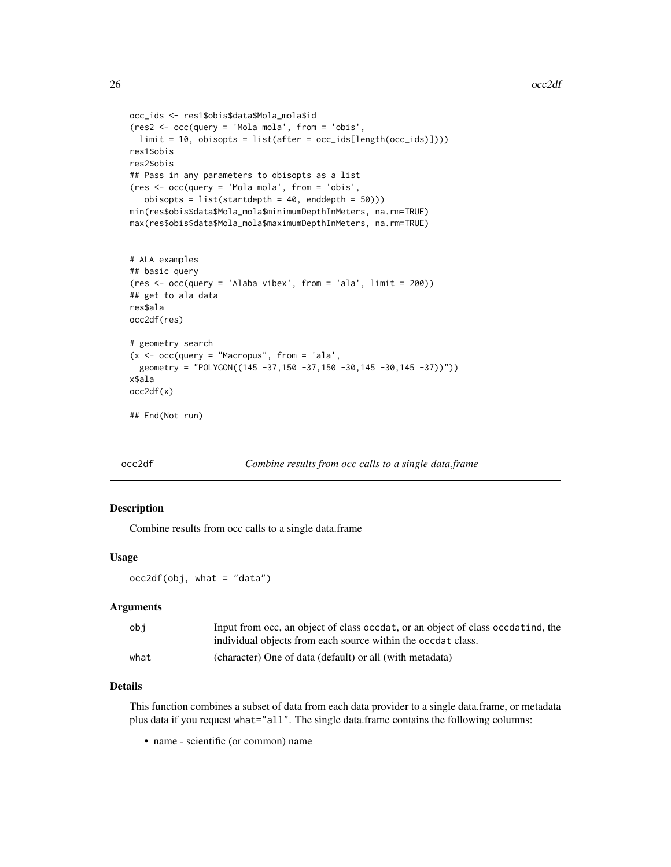```
occ_ids <- res1$obis$data$Mola_mola$id
(res2 <- occ(query = 'Mola mola', from = 'obis',
  limit = 10, obisopts = list(after = occ_ids[length(occ_ids)])))
res1$obis
res2$obis
## Pass in any parameters to obisopts as a list
(res <- occ(query = 'Mola mola', from = 'obis',
   obisopts = list(startdepth = 40, enddepth = 50)))
min(res$obis$data$Mola_mola$minimumDepthInMeters, na.rm=TRUE)
max(res$obis$data$Mola_mola$maximumDepthInMeters, na.rm=TRUE)
# ALA examples
## basic query
(res \leftarrow occquery = 'Alaba vibex', from = 'ala', limit = 200)## get to ala data
res$ala
occ2df(res)
# geometry search
```

```
(x \leq -\text{occ}(query = "Macropus", from = 'ala',geometry = "POLYGON((145 -37,150 -37,150 -30,145 -30,145 -37))"))
x$ala
occ2df(x)
```

```
## End(Not run)
```
<span id="page-25-1"></span>

occ2df *Combine results from occ calls to a single data.frame*

#### Description

Combine results from occ calls to a single data.frame

#### Usage

 $occ2df(obj, what = "data")$ 

#### Arguments

| obi  | Input from occ, an object of class occdat, or an object of class occdatind, the |
|------|---------------------------------------------------------------------------------|
|      | individual objects from each source within the occdat class.                    |
| what | (character) One of data (default) or all (with metadata)                        |

#### Details

This function combines a subset of data from each data provider to a single data.frame, or metadata plus data if you request what="all". The single data.frame contains the following columns:

• name - scientific (or common) name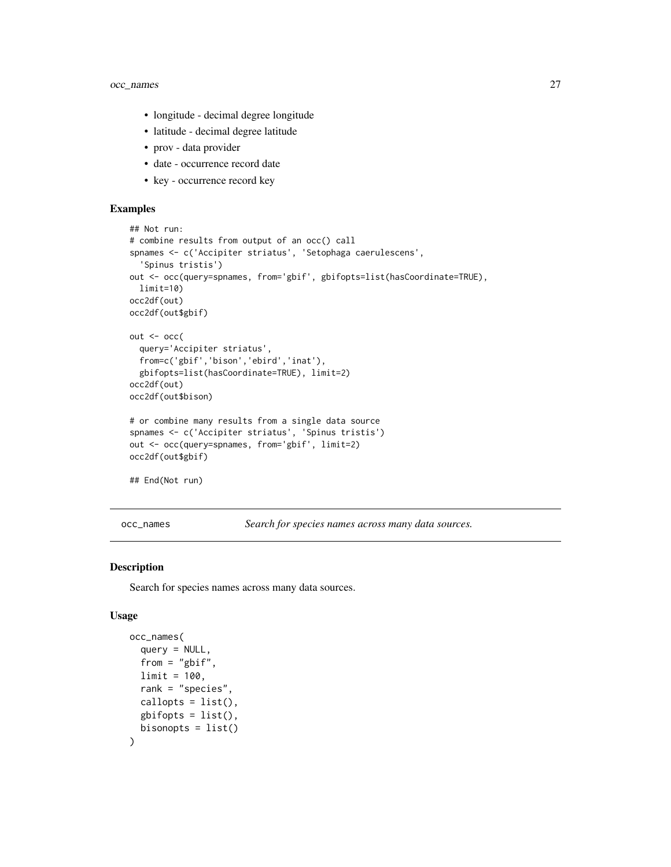### <span id="page-26-0"></span>occ\_names 27

- longitude decimal degree longitude
- latitude decimal degree latitude
- prov data provider
- date occurrence record date
- key occurrence record key

#### Examples

```
## Not run:
# combine results from output of an occ() call
spnames <- c('Accipiter striatus', 'Setophaga caerulescens',
  'Spinus tristis')
out <- occ(query=spnames, from='gbif', gbifopts=list(hasCoordinate=TRUE),
  limit=10)
occ2df(out)
occ2df(out$gbif)
out <- occ(
  query='Accipiter striatus',
  from=c('gbif','bison','ebird','inat'),
  gbifopts=list(hasCoordinate=TRUE), limit=2)
occ2df(out)
occ2df(out$bison)
# or combine many results from a single data source
spnames <- c('Accipiter striatus', 'Spinus tristis')
out <- occ(query=spnames, from='gbif', limit=2)
occ2df(out$gbif)
## End(Not run)
```
<span id="page-26-1"></span>occ\_names *Search for species names across many data sources.*

#### Description

Search for species names across many data sources.

#### Usage

```
occ_names(
  query = NULL,
  from = "gbif",
  limit = 100,
  rank = "species",
  callopts = list(),
  gbifopts = list(),bisonopts = list())
```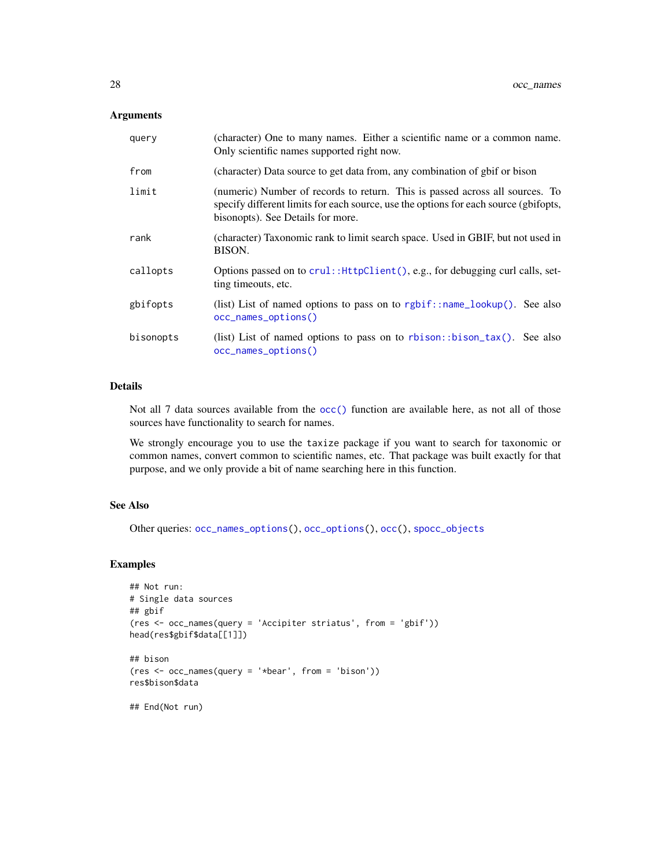#### <span id="page-27-0"></span>Arguments

| query     | (character) One to many names. Either a scientific name or a common name.<br>Only scientific names supported right now.                                                                                   |
|-----------|-----------------------------------------------------------------------------------------------------------------------------------------------------------------------------------------------------------|
| from      | (character) Data source to get data from, any combination of gbif or bison                                                                                                                                |
| limit     | (numeric) Number of records to return. This is passed across all sources. To<br>specify different limits for each source, use the options for each source (gbifopts,<br>bisonopts). See Details for more. |
| rank      | (character) Taxonomic rank to limit search space. Used in GBIF, but not used in<br>BISON.                                                                                                                 |
| callopts  | Options passed on to crul:: HttpClient(), e.g., for debugging curl calls, set-<br>ting timeouts, etc.                                                                                                     |
| gbifopts  | (list) List of named options to pass on to rgbif::name_lookup(). See also<br>occ_names_options()                                                                                                          |
| bisonopts | (list) List of named options to pass on to rbison: :bison_tax(). See also<br>occ_names_options()                                                                                                          |

#### Details

Not all 7 data sources available from the [occ\(\)](#page-12-1) function are available here, as not all of those sources have functionality to search for names.

We strongly encourage you to use the taxize package if you want to search for taxonomic or common names, convert common to scientific names, etc. That package was built exactly for that purpose, and we only provide a bit of name searching here in this function.

#### See Also

Other queries: [occ\\_names\\_options\(](#page-28-1)), [occ\\_options\(](#page-29-1)), [occ\(](#page-12-1)), [spocc\\_objects](#page-0-0)

#### Examples

```
## Not run:
# Single data sources
## gbif
(res <- occ_names(query = 'Accipiter striatus', from = 'gbif'))
head(res$gbif$data[[1]])
## bison
(res <- occ_names(query = '*bear', from = 'bison'))
res$bison$data
```
## End(Not run)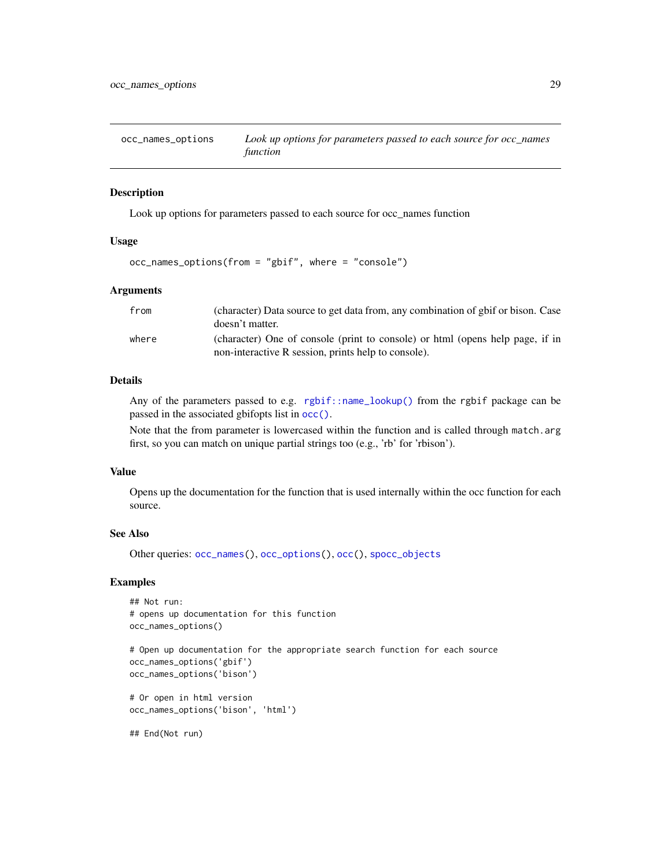<span id="page-28-1"></span><span id="page-28-0"></span>occ\_names\_options *Look up options for parameters passed to each source for occ\_names function*

#### Description

Look up options for parameters passed to each source for occ\_names function

#### Usage

```
occ_names_options(from = "gbif", where = "console")
```
#### Arguments

| from  | (character) Data source to get data from, any combination of gbif or bison. Case                                                     |
|-------|--------------------------------------------------------------------------------------------------------------------------------------|
|       | doesn't matter.                                                                                                                      |
| where | (character) One of console (print to console) or html (opens help page, if in<br>non-interactive R session, prints help to console). |
|       |                                                                                                                                      |

# Details

Any of the parameters passed to e.g. [rgbif::name\\_lookup\(\)](#page-0-0) from the rgbif package can be passed in the associated gbifopts list in [occ\(\)](#page-12-1).

Note that the from parameter is lowercased within the function and is called through match.arg first, so you can match on unique partial strings too (e.g., 'rb' for 'rbison').

#### Value

Opens up the documentation for the function that is used internally within the occ function for each source.

#### See Also

```
Other queries: occ_names(), occ_options(), occ(), spocc_objects
```
#### Examples

```
## Not run:
# opens up documentation for this function
occ_names_options()
```

```
# Open up documentation for the appropriate search function for each source
occ_names_options('gbif')
occ_names_options('bison')
```
# Or open in html version occ\_names\_options('bison', 'html')

## End(Not run)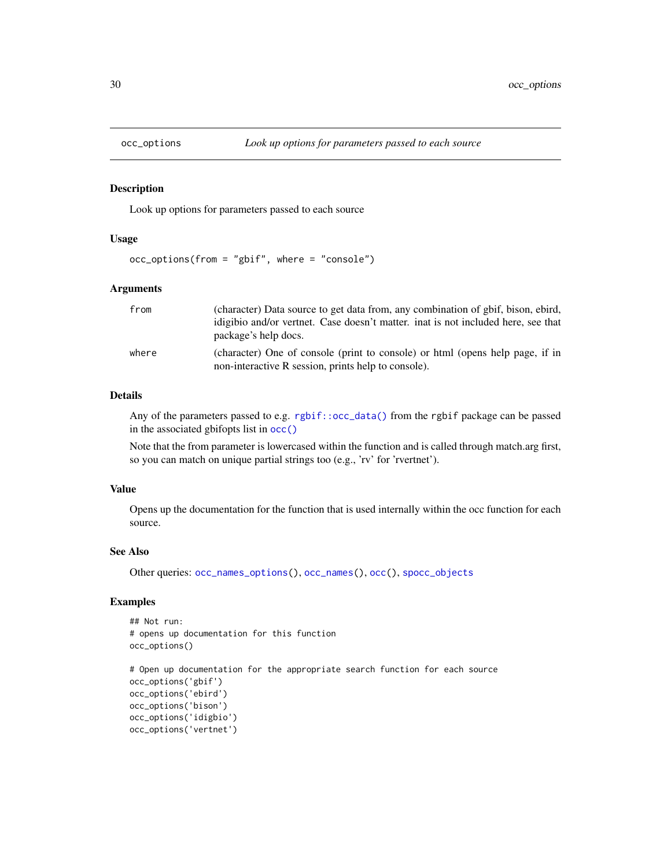<span id="page-29-1"></span><span id="page-29-0"></span>

#### Description

Look up options for parameters passed to each source

#### Usage

```
occ_options(from = "gbif", where = "console")
```
#### Arguments

| from  | (character) Data source to get data from, any combination of gbif, bison, ebird,<br>idigibio and/or vertnet. Case doesn't matter, inat is not included here, see that<br>package's help docs. |
|-------|-----------------------------------------------------------------------------------------------------------------------------------------------------------------------------------------------|
| where | (character) One of console (print to console) or html (opens help page, if in<br>non-interactive R session, prints help to console).                                                          |

#### Details

Any of the parameters passed to e.g. [rgbif::occ\\_data\(\)](#page-0-0) from the rgbif package can be passed in the associated gbifopts list in [occ\(\)](#page-12-1)

Note that the from parameter is lowercased within the function and is called through match.arg first, so you can match on unique partial strings too (e.g., 'rv' for 'rvertnet').

#### Value

Opens up the documentation for the function that is used internally within the occ function for each source.

#### See Also

```
Other queries: occ_names_options(), occ_names(), occ(), spocc_objects
```
### Examples

```
## Not run:
# opens up documentation for this function
occ_options()
```

```
# Open up documentation for the appropriate search function for each source
occ_options('gbif')
occ_options('ebird')
occ_options('bison')
occ_options('idigbio')
occ_options('vertnet')
```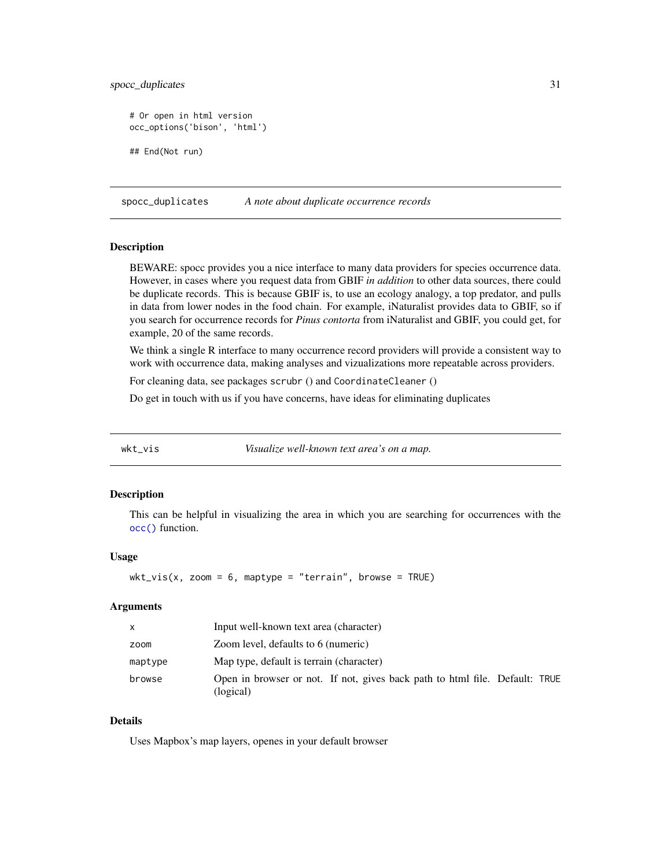<span id="page-30-0"></span>spocc\_duplicates 31

```
# Or open in html version
occ_options('bison', 'html')
## End(Not run)
```
<span id="page-30-2"></span>spocc\_duplicates *A note about duplicate occurrence records*

#### Description

BEWARE: spocc provides you a nice interface to many data providers for species occurrence data. However, in cases where you request data from GBIF *in addition* to other data sources, there could be duplicate records. This is because GBIF is, to use an ecology analogy, a top predator, and pulls in data from lower nodes in the food chain. For example, iNaturalist provides data to GBIF, so if you search for occurrence records for *Pinus contorta* from iNaturalist and GBIF, you could get, for example, 20 of the same records.

We think a single R interface to many occurrence record providers will provide a consistent way to work with occurrence data, making analyses and vizualizations more repeatable across providers.

For cleaning data, see packages scrubr () and CoordinateCleaner ()

Do get in touch with us if you have concerns, have ideas for eliminating duplicates

<span id="page-30-1"></span>

wkt\_vis *Visualize well-known text area's on a map.*

#### Description

This can be helpful in visualizing the area in which you are searching for occurrences with the [occ\(\)](#page-12-1) function.

#### Usage

 $wkt\_vis(x, zoom = 6, maptype = "ternain", browse = TRUE)$ 

#### Arguments

| $\mathsf{x}$ | Input well-known text area (character)                                                   |
|--------------|------------------------------------------------------------------------------------------|
| zoom         | Zoom level, defaults to 6 (numeric)                                                      |
| maptype      | Map type, default is terrain (character)                                                 |
| browse       | Open in browser or not. If not, gives back path to html file. Default: TRUE<br>(logical) |

#### Details

Uses Mapbox's map layers, openes in your default browser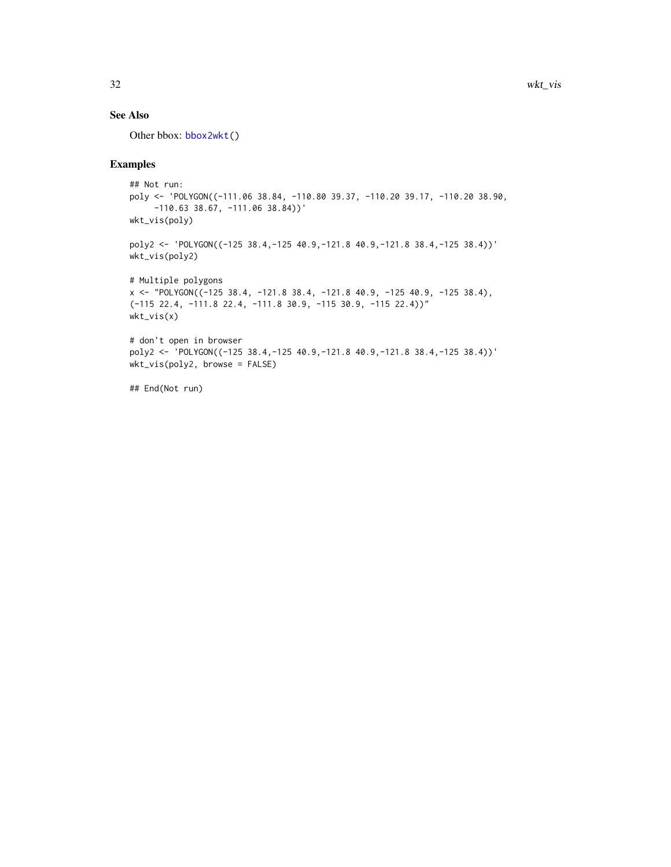#### <span id="page-31-0"></span>See Also

Other bbox: [bbox2wkt\(](#page-10-1))

# Examples

```
## Not run:
poly <- 'POLYGON((-111.06 38.84, -110.80 39.37, -110.20 39.17, -110.20 38.90,
     -110.63 38.67, -111.06 38.84))'
wkt_vis(poly)
poly2 <- 'POLYGON((-125 38.4,-125 40.9,-121.8 40.9,-121.8 38.4,-125 38.4))'
wkt_vis(poly2)
# Multiple polygons
x <- "POLYGON((-125 38.4, -121.8 38.4, -121.8 40.9, -125 40.9, -125 38.4),
(-115 22.4, -111.8 22.4, -111.8 30.9, -115 30.9, -115 22.4))"
wkt_vis(x)
# don't open in browser
poly2 <- 'POLYGON((-125 38.4,-125 40.9,-121.8 40.9,-121.8 38.4,-125 38.4))'
wkt_vis(poly2, browse = FALSE)
```
## End(Not run)